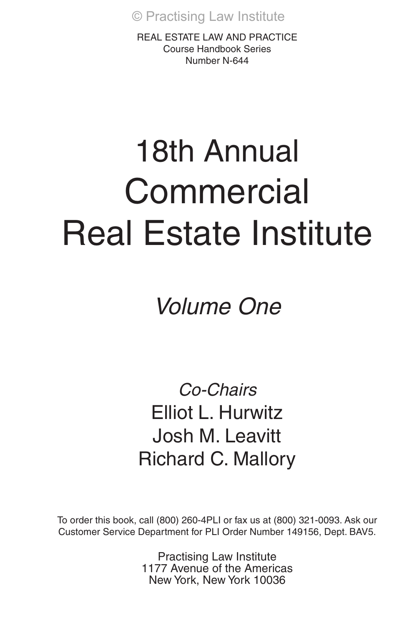REAL ESTATE LAW AND PRACTICE Course Handbook Series Number N-644

# 18th Annual **Commercial** Real Estate Institute

Volume One

Co-Chairs Elliot L. Hurwitz Josh M. Leavitt Richard C. Mallory

To order this book, call (800) 260-4PLI or fax us at (800) 321-0093. Ask our Customer Service Department for PLI Order Number 149156, Dept. BAV5.

> Practising Law Institute 1177 Avenue of the Americas New York, New York 10036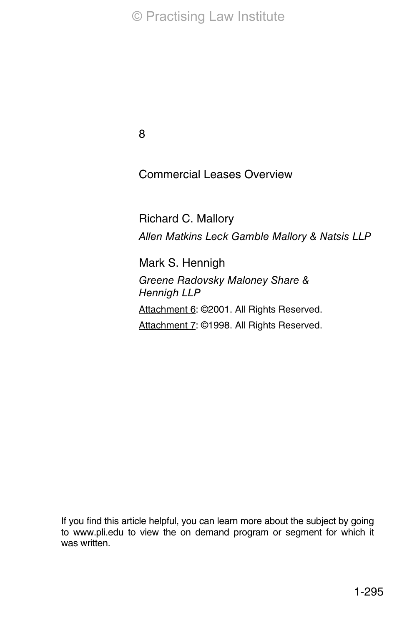8

Commercial Leases Overview

Richard C. Mallory Allen Matkins Leck Gamble Mallory & Natsis LLP

Mark S. Hennigh Greene Radovsky Maloney Share & Hennigh LLP Attachment 6: @2001. All Rights Reserved. Attachment 7: ©1998. All Rights Reserved.

If you find this article helpful, you can learn more about the subject by going to www.pli.edu to view the on demand program or segment for which it was written.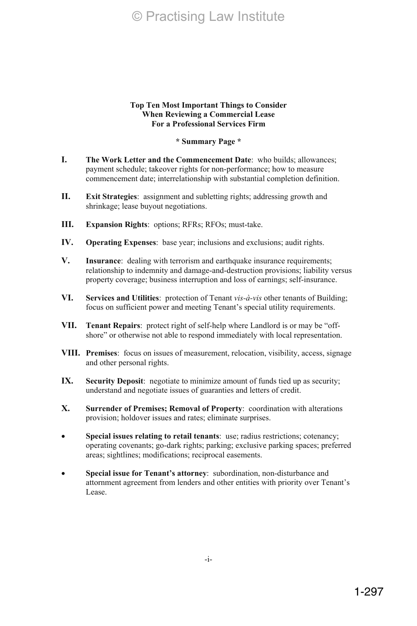#### **Top Ten Most Important Things to Consider When Reviewing a Commercial Lease For a Professional Services Firm**

# **\* Summary Page \***

- **I. The Work Letter and the Commencement Date**: who builds; allowances; payment schedule; takeover rights for non-performance; how to measure commencement date; interrelationship with substantial completion definition.
- **II. Exit Strategies**: assignment and subletting rights; addressing growth and shrinkage; lease buyout negotiations.
- **III. Expansion Rights**: options; RFRs; RFOs; must-take.
- **IV. Operating Expenses**: base year; inclusions and exclusions; audit rights.
- **V. Insurance**: dealing with terrorism and earthquake insurance requirements; relationship to indemnity and damage-and-destruction provisions; liability versus property coverage; business interruption and loss of earnings; self-insurance.
- **VI. Services and Utilities**: protection of Tenant *vis-à-vis* other tenants of Building; focus on sufficient power and meeting Tenant's special utility requirements.
- **VII. Tenant Repairs**: protect right of self-help where Landlord is or may be "offshore" or otherwise not able to respond immediately with local representation.
- **VIII. Premises**: focus on issues of measurement, relocation, visibility, access, signage and other personal rights.
- **IX. Security Deposit**: negotiate to minimize amount of funds tied up as security; understand and negotiate issues of guaranties and letters of credit.
- **X. Surrender of Premises; Removal of Property**: coordination with alterations provision; holdover issues and rates; eliminate surprises.
- Special issues relating to retail tenants: use; radius restrictions; cotenancy; operating covenants; go-dark rights; parking; exclusive parking spaces; preferred areas; sightlines; modifications; reciprocal easements.
- Special issue for Tenant's attorney: subordination, non-disturbance and attornment agreement from lenders and other entities with priority over Tenant's Lease.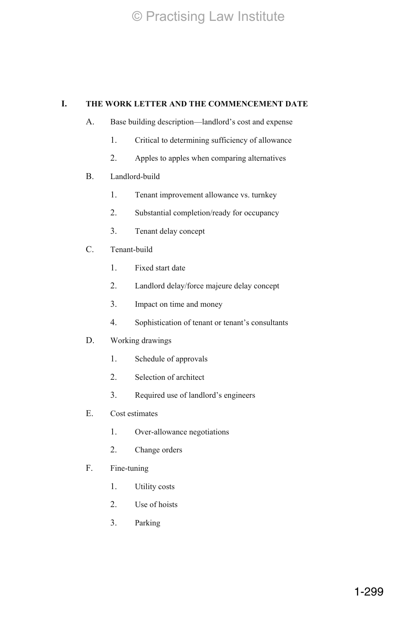# **I. THE WORK LETTER AND THE COMMENCEMENT DATE**

- A. Base building description—landlord's cost and expense
	- 1. Critical to determining sufficiency of allowance
	- 2. Apples to apples when comparing alternatives
- B. Landlord-build
	- 1. Tenant improvement allowance vs. turnkey
	- 2. Substantial completion/ready for occupancy
	- 3. Tenant delay concept
- C. Tenant-build
	- 1. Fixed start date
	- 2. Landlord delay/force majeure delay concept
	- 3. Impact on time and money
	- 4. Sophistication of tenant or tenant's consultants
- D. Working drawings
	- 1. Schedule of approvals
	- 2. Selection of architect
	- 3. Required use of landlord's engineers
- E. Cost estimates
	- 1. Over-allowance negotiations
	- 2. Change orders
- F. Fine-tuning
	- 1. Utility costs
	- 2. Use of hoists
	- 3. Parking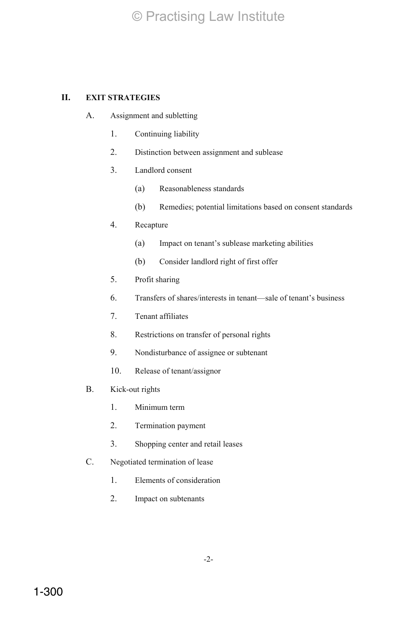# **II. EXIT STRATEGIES**

- A. Assignment and subletting
	- 1. Continuing liability
	- 2. Distinction between assignment and sublease
	- 3. Landlord consent
		- (a) Reasonableness standards
		- (b) Remedies; potential limitations based on consent standards
	- 4. Recapture
		- (a) Impact on tenant's sublease marketing abilities
		- (b) Consider landlord right of first offer
	- 5. Profit sharing
	- 6. Transfers of shares/interests in tenant—sale of tenant's business
	- 7. Tenant affiliates
	- 8. Restrictions on transfer of personal rights
	- 9. Nondisturbance of assignee or subtenant
	- 10. Release of tenant/assignor
- B. Kick-out rights
	- 1. Minimum term
	- 2. Termination payment
	- 3. Shopping center and retail leases
- C. Negotiated termination of lease
	- 1. Elements of consideration
	- 2. Impact on subtenants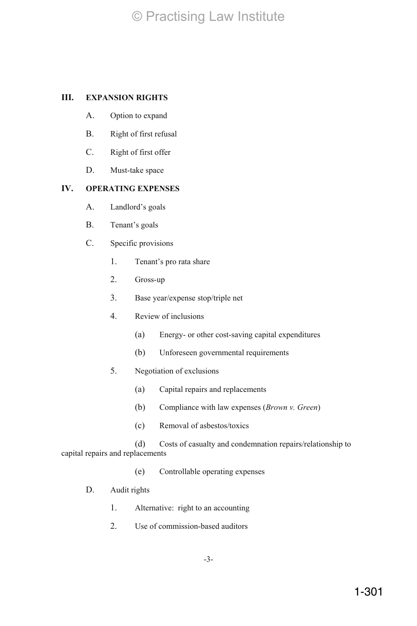# **III. EXPANSION RIGHTS**

- A. Option to expand
- B. Right of first refusal
- C. Right of first offer
- D. Must-take space

## **IV. OPERATING EXPENSES**

- A. Landlord's goals
- B. Tenant's goals
- C. Specific provisions
	- 1. Tenant's pro rata share
	- 2. Gross-up
	- 3. Base year/expense stop/triple net
	- 4. Review of inclusions
		- (a) Energy- or other cost-saving capital expenditures
		- (b) Unforeseen governmental requirements
	- 5. Negotiation of exclusions
		- (a) Capital repairs and replacements
		- (b) Compliance with law expenses (*Brown v. Green*)
		- (c) Removal of asbestos/toxics

(d) Costs of casualty and condemnation repairs/relationship to capital repairs and replacements

(e) Controllable operating expenses

# D. Audit rights

- 1. Alternative: right to an accounting
- 2. Use of commission-based auditors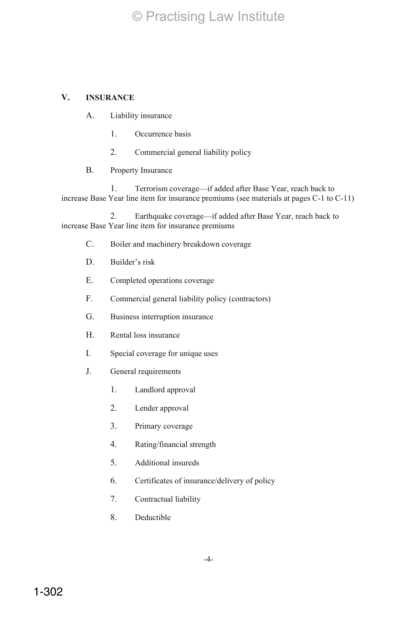# **V. INSURANCE**

- A. Liability insurance
	- 1. Occurrence basis
	- 2. Commercial general liability policy
- B. Property Insurance

1. Terrorism coverage—if added after Base Year, reach back to increase Base Year line item for insurance premiums (see materials at pages C-1 to C-11)

2. Earthquake coverage—if added after Base Year, reach back to increase Base Year line item for insurance premiums

- C. Boiler and machinery breakdown coverage
- D. Builder's risk
- E. Completed operations coverage
- F. Commercial general liability policy (contractors)
- G. Business interruption insurance
- H. Rental loss insurance
- I. Special coverage for unique uses
- J. General requirements
	- 1. Landlord approval
	- 2. Lender approval
	- 3. Primary coverage
	- 4. Rating/financial strength
	- 5. Additional insureds
	- 6. Certificates of insurance/delivery of policy
	- 7. Contractual liability
	- 8. Deductible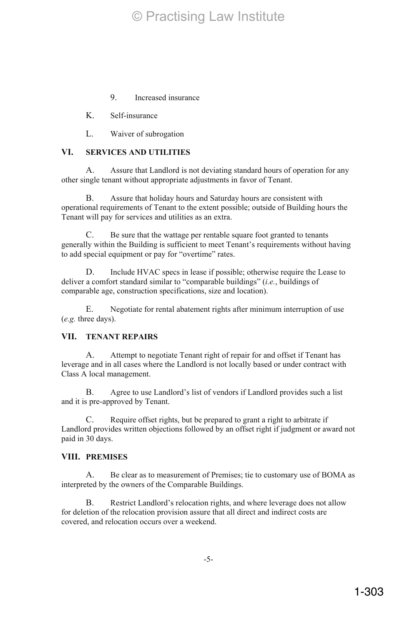9. Increased insurance

K. Self-insurance

L. Waiver of subrogation

# **VI. SERVICES AND UTILITIES**

A. Assure that Landlord is not deviating standard hours of operation for any other single tenant without appropriate adjustments in favor of Tenant.

B. Assure that holiday hours and Saturday hours are consistent with operational requirements of Tenant to the extent possible; outside of Building hours the Tenant will pay for services and utilities as an extra.

C. Be sure that the wattage per rentable square foot granted to tenants generally within the Building is sufficient to meet Tenant's requirements without having to add special equipment or pay for "overtime" rates.

D. Include HVAC specs in lease if possible; otherwise require the Lease to deliver a comfort standard similar to "comparable buildings" (*i.e.*, buildings of comparable age, construction specifications, size and location).

E. Negotiate for rental abatement rights after minimum interruption of use (*e.g.* three days).

## **VII. TENANT REPAIRS**

A. Attempt to negotiate Tenant right of repair for and offset if Tenant has leverage and in all cases where the Landlord is not locally based or under contract with Class A local management.

B. Agree to use Landlord's list of vendors if Landlord provides such a list and it is pre-approved by Tenant.

C. Require offset rights, but be prepared to grant a right to arbitrate if Landlord provides written objections followed by an offset right if judgment or award not paid in 30 days.

#### **VIII. PREMISES**

A. Be clear as to measurement of Premises; tie to customary use of BOMA as interpreted by the owners of the Comparable Buildings.

B. Restrict Landlord's relocation rights, and where leverage does not allow for deletion of the relocation provision assure that all direct and indirect costs are covered, and relocation occurs over a weekend.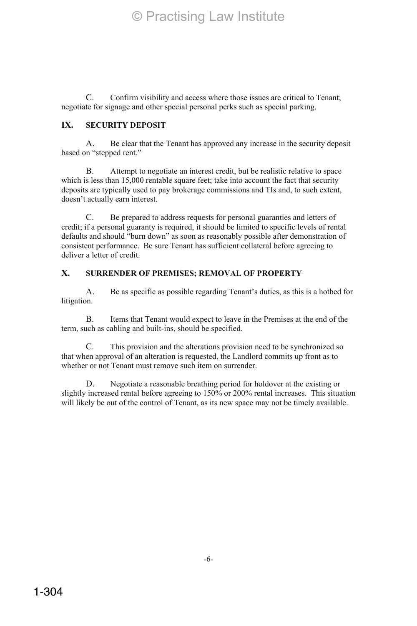C. Confirm visibility and access where those issues are critical to Tenant; negotiate for signage and other special personal perks such as special parking.

# **IX. SECURITY DEPOSIT**

A. Be clear that the Tenant has approved any increase in the security deposit based on "stepped rent."

B. Attempt to negotiate an interest credit, but be realistic relative to space which is less than 15,000 rentable square feet; take into account the fact that security deposits are typically used to pay brokerage commissions and TIs and, to such extent, doesn't actually earn interest.

C. Be prepared to address requests for personal guaranties and letters of credit; if a personal guaranty is required, it should be limited to specific levels of rental defaults and should "burn down" as soon as reasonably possible after demonstration of consistent performance. Be sure Tenant has sufficient collateral before agreeing to deliver a letter of credit.

# **X. SURRENDER OF PREMISES; REMOVAL OF PROPERTY**

A. Be as specific as possible regarding Tenant's duties, as this is a hotbed for litigation.

B. Items that Tenant would expect to leave in the Premises at the end of the term, such as cabling and built-ins, should be specified.

C. This provision and the alterations provision need to be synchronized so that when approval of an alteration is requested, the Landlord commits up front as to whether or not Tenant must remove such item on surrender.

D. Negotiate a reasonable breathing period for holdover at the existing or slightly increased rental before agreeing to 150% or 200% rental increases. This situation will likely be out of the control of Tenant, as its new space may not be timely available.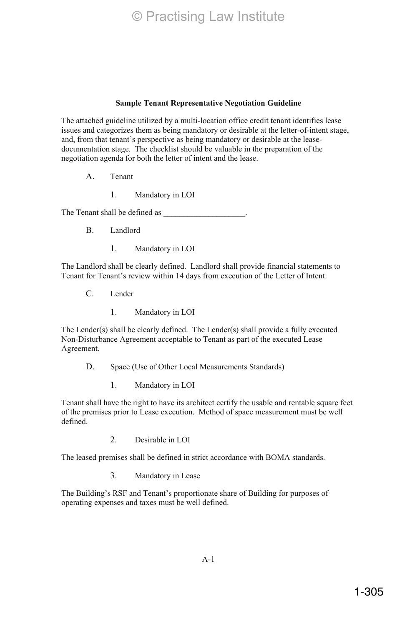#### **Sample Tenant Representative Negotiation Guideline**

The attached guideline utilized by a multi-location office credit tenant identifies lease issues and categorizes them as being mandatory or desirable at the letter-of-intent stage, and, from that tenant's perspective as being mandatory or desirable at the leasedocumentation stage. The checklist should be valuable in the preparation of the negotiation agenda for both the letter of intent and the lease.

- A. Tenant
	- 1. Mandatory in LOI

The Tenant shall be defined as

- B. Landlord
	- 1. Mandatory in LOI

The Landlord shall be clearly defined. Landlord shall provide financial statements to Tenant for Tenant's review within 14 days from execution of the Letter of Intent.

- C. Lender
	- 1. Mandatory in LOI

The Lender(s) shall be clearly defined. The Lender(s) shall provide a fully executed Non-Disturbance Agreement acceptable to Tenant as part of the executed Lease Agreement.

D. Space (Use of Other Local Measurements Standards)

1. Mandatory in LOI

Tenant shall have the right to have its architect certify the usable and rentable square feet of the premises prior to Lease execution. Method of space measurement must be well defined.

2. Desirable in LOI

The leased premises shall be defined in strict accordance with BOMA standards.

3. Mandatory in Lease

The Building's RSF and Tenant's proportionate share of Building for purposes of operating expenses and taxes must be well defined.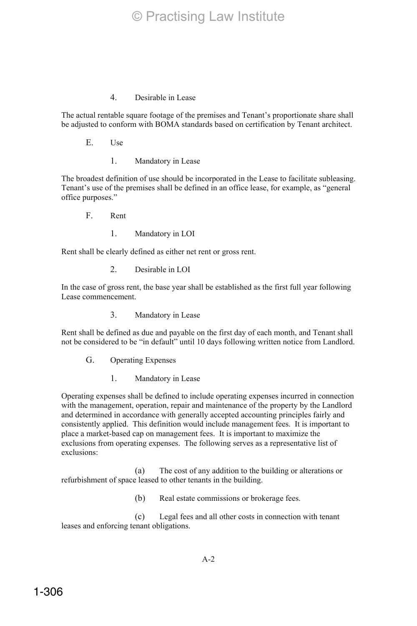# 4. Desirable in Lease

The actual rentable square footage of the premises and Tenant's proportionate share shall be adjusted to conform with BOMA standards based on certification by Tenant architect.

- E. Use
	- 1. Mandatory in Lease

The broadest definition of use should be incorporated in the Lease to facilitate subleasing. Tenant's use of the premises shall be defined in an office lease, for example, as "general office purposes."

- F. Rent
	- 1. Mandatory in LOI

Rent shall be clearly defined as either net rent or gross rent.

2. Desirable in LOI

In the case of gross rent, the base year shall be established as the first full year following Lease commencement.

3. Mandatory in Lease

Rent shall be defined as due and payable on the first day of each month, and Tenant shall not be considered to be "in default" until 10 days following written notice from Landlord.

- G. Operating Expenses
	- 1. Mandatory in Lease

Operating expenses shall be defined to include operating expenses incurred in connection with the management, operation, repair and maintenance of the property by the Landlord and determined in accordance with generally accepted accounting principles fairly and consistently applied. This definition would include management fees. It is important to place a market-based cap on management fees. It is important to maximize the exclusions from operating expenses. The following serves as a representative list of exclusions:

(a) The cost of any addition to the building or alterations or refurbishment of space leased to other tenants in the building.

(b) Real estate commissions or brokerage fees.

(c) Legal fees and all other costs in connection with tenant leases and enforcing tenant obligations.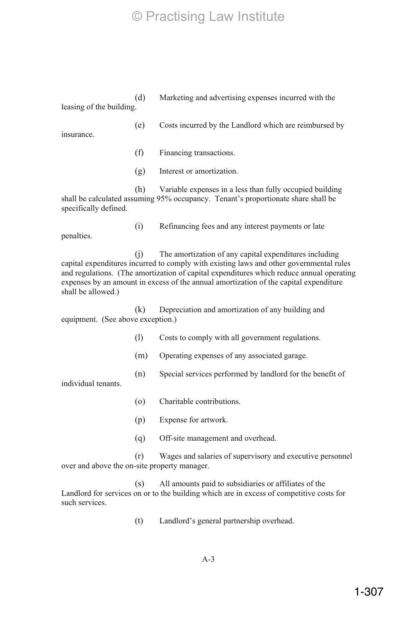(d) Marketing and advertising expenses incurred with the leasing of the building.

insurance.

- (e) Costs incurred by the Landlord which are reimbursed by
- (f) Financing transactions.
- (g) Interest or amortization.

(h) Variable expenses in a less than fully occupied building shall be calculated assuming 95% occupancy. Tenant's proportionate share shall be specifically defined.

penalties.

(i) Refinancing fees and any interest payments or late

(j) The amortization of any capital expenditures including capital expenditures incurred to comply with existing laws and other governmental rules and regulations. (The amortization of capital expenditures which reduce annual operating expenses by an amount in excess of the annual amortization of the capital expenditure shall be allowed.)

(k) Depreciation and amortization of any building and equipment. (See above exception.)

- (l) Costs to comply with all government regulations.
- (m) Operating expenses of any associated garage.
- (n) Special services performed by landlord for the benefit of

individual tenants.

- (o) Charitable contributions.
- (p) Expense for artwork.
- (q) Off-site management and overhead.

(r) Wages and salaries of supervisory and executive personnel over and above the on-site property manager.

(s) All amounts paid to subsidiaries or affiliates of the Landlord for services on or to the building which are in excess of competitive costs for such services.

(t) Landlord's general partnership overhead.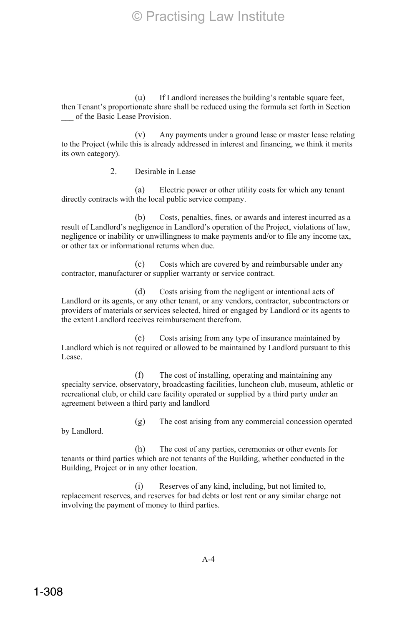(u) If Landlord increases the building's rentable square feet, then Tenant's proportionate share shall be reduced using the formula set forth in Section of the Basic Lease Provision.

(v) Any payments under a ground lease or master lease relating to the Project (while this is already addressed in interest and financing, we think it merits its own category).

2. Desirable in Lease

(a) Electric power or other utility costs for which any tenant directly contracts with the local public service company.

(b) Costs, penalties, fines, or awards and interest incurred as a result of Landlord's negligence in Landlord's operation of the Project, violations of law, negligence or inability or unwillingness to make payments and/or to file any income tax, or other tax or informational returns when due.

(c) Costs which are covered by and reimbursable under any contractor, manufacturer or supplier warranty or service contract.

(d) Costs arising from the negligent or intentional acts of Landlord or its agents, or any other tenant, or any vendors, contractor, subcontractors or providers of materials or services selected, hired or engaged by Landlord or its agents to the extent Landlord receives reimbursement therefrom.

(e) Costs arising from any type of insurance maintained by Landlord which is not required or allowed to be maintained by Landlord pursuant to this Lease.

(f) The cost of installing, operating and maintaining any specialty service, observatory, broadcasting facilities, luncheon club, museum, athletic or recreational club, or child care facility operated or supplied by a third party under an agreement between a third party and landlord

by Landlord.

(g) The cost arising from any commercial concession operated

(h) The cost of any parties, ceremonies or other events for tenants or third parties which are not tenants of the Building, whether conducted in the Building, Project or in any other location.

(i) Reserves of any kind, including, but not limited to, replacement reserves, and reserves for bad debts or lost rent or any similar charge not involving the payment of money to third parties.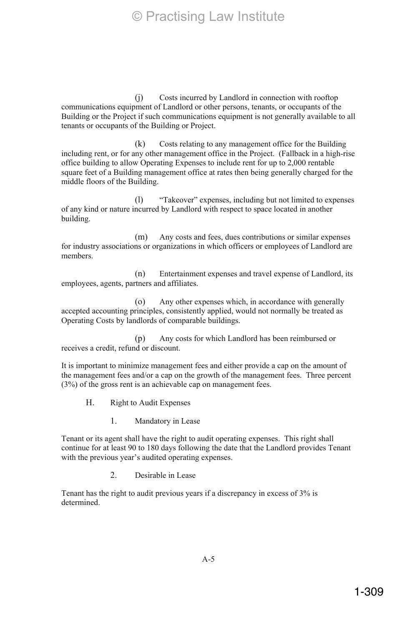(j) Costs incurred by Landlord in connection with rooftop communications equipment of Landlord or other persons, tenants, or occupants of the Building or the Project if such communications equipment is not generally available to all tenants or occupants of the Building or Project.

(k) Costs relating to any management office for the Building including rent, or for any other management office in the Project. (Fallback in a high-rise office building to allow Operating Expenses to include rent for up to 2,000 rentable square feet of a Building management office at rates then being generally charged for the middle floors of the Building.

(l) "Takeover" expenses, including but not limited to expenses of any kind or nature incurred by Landlord with respect to space located in another building.

(m) Any costs and fees, dues contributions or similar expenses for industry associations or organizations in which officers or employees of Landlord are members.

(n) Entertainment expenses and travel expense of Landlord, its employees, agents, partners and affiliates.

(o) Any other expenses which, in accordance with generally accepted accounting principles, consistently applied, would not normally be treated as Operating Costs by landlords of comparable buildings.

(p) Any costs for which Landlord has been reimbursed or receives a credit, refund or discount.

It is important to minimize management fees and either provide a cap on the amount of the management fees and/or a cap on the growth of the management fees. Three percent (3%) of the gross rent is an achievable cap on management fees.

H. Right to Audit Expenses

1. Mandatory in Lease

Tenant or its agent shall have the right to audit operating expenses. This right shall continue for at least 90 to 180 days following the date that the Landlord provides Tenant with the previous year's audited operating expenses.

2. Desirable in Lease

Tenant has the right to audit previous years if a discrepancy in excess of 3% is determined.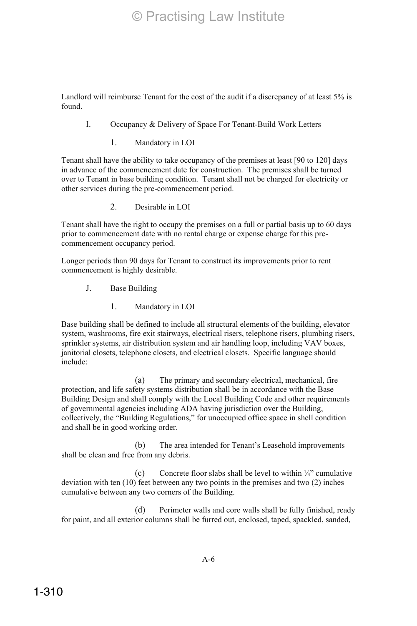Landlord will reimburse Tenant for the cost of the audit if a discrepancy of at least 5% is found.

- I. Occupancy & Delivery of Space For Tenant-Build Work Letters
	- 1. Mandatory in LOI

Tenant shall have the ability to take occupancy of the premises at least [90 to 120] days in advance of the commencement date for construction. The premises shall be turned over to Tenant in base building condition. Tenant shall not be charged for electricity or other services during the pre-commencement period.

2. Desirable in LOI

Tenant shall have the right to occupy the premises on a full or partial basis up to 60 days prior to commencement date with no rental charge or expense charge for this precommencement occupancy period.

Longer periods than 90 days for Tenant to construct its improvements prior to rent commencement is highly desirable.

- J. Base Building
	- 1. Mandatory in LOI

Base building shall be defined to include all structural elements of the building, elevator system, washrooms, fire exit stairways, electrical risers, telephone risers, plumbing risers, sprinkler systems, air distribution system and air handling loop, including VAV boxes, janitorial closets, telephone closets, and electrical closets. Specific language should include:

(a) The primary and secondary electrical, mechanical, fire protection, and life safety systems distribution shall be in accordance with the Base Building Design and shall comply with the Local Building Code and other requirements of governmental agencies including ADA having jurisdiction over the Building, collectively, the "Building Regulations," for unoccupied office space in shell condition and shall be in good working order.

(b) The area intended for Tenant's Leasehold improvements shall be clean and free from any debris.

(c) Concrete floor slabs shall be level to within  $\frac{1}{4}$ " cumulative deviation with ten (10) feet between any two points in the premises and two (2) inches cumulative between any two corners of the Building.

(d) Perimeter walls and core walls shall be fully finished, ready for paint, and all exterior columns shall be furred out, enclosed, taped, spackled, sanded,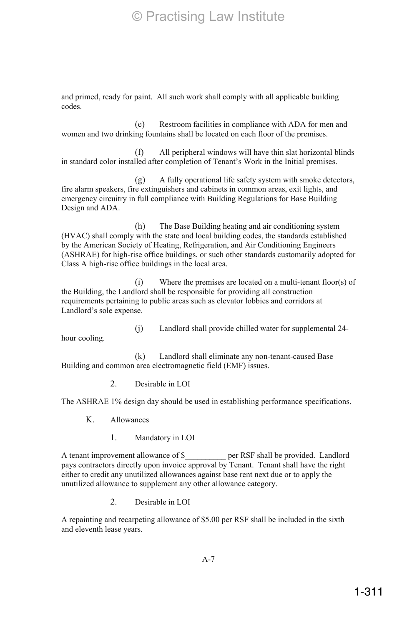and primed, ready for paint. All such work shall comply with all applicable building codes.

(e) Restroom facilities in compliance with ADA for men and women and two drinking fountains shall be located on each floor of the premises.

(f) All peripheral windows will have thin slat horizontal blinds in standard color installed after completion of Tenant's Work in the Initial premises.

(g) A fully operational life safety system with smoke detectors, fire alarm speakers, fire extinguishers and cabinets in common areas, exit lights, and emergency circuitry in full compliance with Building Regulations for Base Building Design and ADA.

(h) The Base Building heating and air conditioning system (HVAC) shall comply with the state and local building codes, the standards established by the American Society of Heating, Refrigeration, and Air Conditioning Engineers (ASHRAE) for high-rise office buildings, or such other standards customarily adopted for Class A high-rise office buildings in the local area.

(i) Where the premises are located on a multi-tenant floor(s) of the Building, the Landlord shall be responsible for providing all construction requirements pertaining to public areas such as elevator lobbies and corridors at Landlord's sole expense.

hour cooling.

(j) Landlord shall provide chilled water for supplemental 24-

(k) Landlord shall eliminate any non-tenant-caused Base Building and common area electromagnetic field (EMF) issues.

2. Desirable in LOI

The ASHRAE 1% design day should be used in establishing performance specifications.

K. Allowances

1. Mandatory in LOI

A tenant improvement allowance of \$\_\_\_\_\_\_\_\_\_\_ per RSF shall be provided. Landlord pays contractors directly upon invoice approval by Tenant. Tenant shall have the right either to credit any unutilized allowances against base rent next due or to apply the unutilized allowance to supplement any other allowance category.

2. Desirable in LOI

A repainting and recarpeting allowance of \$5.00 per RSF shall be included in the sixth and eleventh lease years.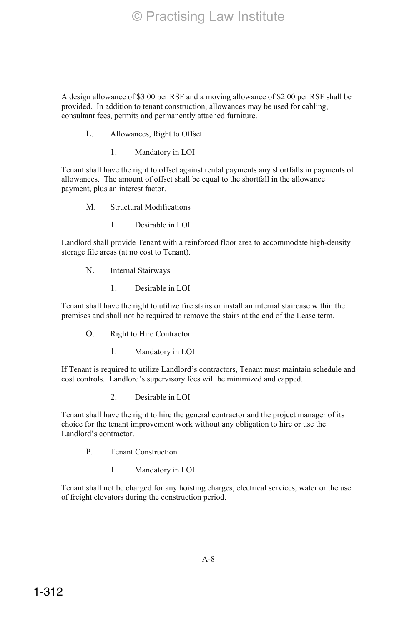A design allowance of \$3.00 per RSF and a moving allowance of \$2.00 per RSF shall be provided. In addition to tenant construction, allowances may be used for cabling, consultant fees, permits and permanently attached furniture.

- L. Allowances, Right to Offset
	- 1. Mandatory in LOI

Tenant shall have the right to offset against rental payments any shortfalls in payments of allowances. The amount of offset shall be equal to the shortfall in the allowance payment, plus an interest factor.

- M. Structural Modifications
	- 1. Desirable in LOI

Landlord shall provide Tenant with a reinforced floor area to accommodate high-density storage file areas (at no cost to Tenant).

- N. Internal Stairways
	- 1. Desirable in LOI

Tenant shall have the right to utilize fire stairs or install an internal staircase within the premises and shall not be required to remove the stairs at the end of the Lease term.

- O. Right to Hire Contractor
	- 1. Mandatory in LOI

If Tenant is required to utilize Landlord's contractors, Tenant must maintain schedule and cost controls. Landlord's supervisory fees will be minimized and capped.

2. Desirable in LOI

Tenant shall have the right to hire the general contractor and the project manager of its choice for the tenant improvement work without any obligation to hire or use the Landlord's contractor.

- P. Tenant Construction
	- 1. Mandatory in LOI

Tenant shall not be charged for any hoisting charges, electrical services, water or the use of freight elevators during the construction period.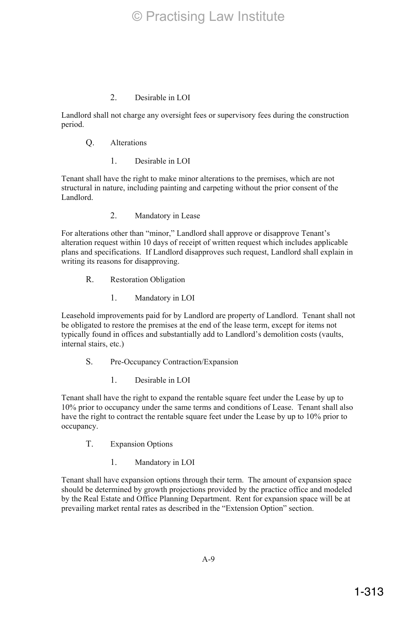Landlord shall not charge any oversight fees or supervisory fees during the construction period.

- Q. Alterations
	- 1. Desirable in LOI

Tenant shall have the right to make minor alterations to the premises, which are not structural in nature, including painting and carpeting without the prior consent of the Landlord.

2. Mandatory in Lease

For alterations other than "minor," Landlord shall approve or disapprove Tenant's alteration request within 10 days of receipt of written request which includes applicable plans and specifications. If Landlord disapproves such request, Landlord shall explain in writing its reasons for disapproving.

- R. Restoration Obligation
	- 1. Mandatory in LOI

Leasehold improvements paid for by Landlord are property of Landlord. Tenant shall not be obligated to restore the premises at the end of the lease term, except for items not typically found in offices and substantially add to Landlord's demolition costs (vaults, internal stairs, etc.)

- S. Pre-Occupancy Contraction/Expansion
	- 1. Desirable in LOI

Tenant shall have the right to expand the rentable square feet under the Lease by up to 10% prior to occupancy under the same terms and conditions of Lease. Tenant shall also have the right to contract the rentable square feet under the Lease by up to 10% prior to occupancy.

- T. Expansion Options
	- 1. Mandatory in LOI

Tenant shall have expansion options through their term. The amount of expansion space should be determined by growth projections provided by the practice office and modeled by the Real Estate and Office Planning Department. Rent for expansion space will be at prevailing market rental rates as described in the "Extension Option" section.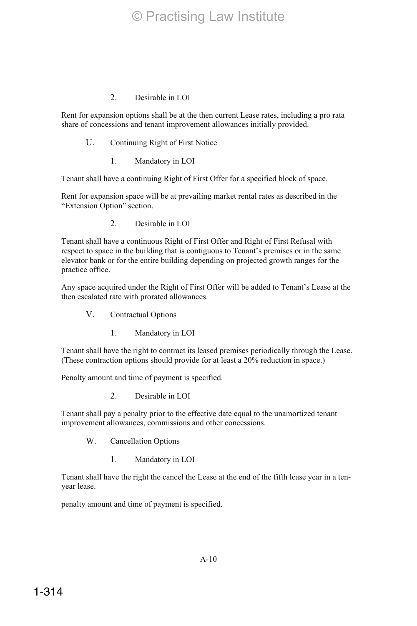Rent for expansion options shall be at the then current Lease rates, including a pro rata share of concessions and tenant improvement allowances initially provided.

- U. Continuing Right of First Notice
	- 1. Mandatory in LOI

Tenant shall have a continuing Right of First Offer for a specified block of space.

Rent for expansion space will be at prevailing market rental rates as described in the "Extension Option" section.

2. Desirable in LOI

Tenant shall have a continuous Right of First Offer and Right of First Refusal with respect to space in the building that is contiguous to Tenant's premises or in the same elevator bank or for the entire building depending on projected growth ranges for the practice office.

Any space acquired under the Right of First Offer will be added to Tenant's Lease at the then escalated rate with prorated allowances.

- V. Contractual Options
	- 1. Mandatory in LOI

Tenant shall have the right to contract its leased premises periodically through the Lease. (These contraction options should provide for at least a 20% reduction in space.)

Penalty amount and time of payment is specified.

2. Desirable in LOI

Tenant shall pay a penalty prior to the effective date equal to the unamortized tenant improvement allowances, commissions and other concessions.

- W. Cancellation Options
	- 1. Mandatory in LOI

Tenant shall have the right the cancel the Lease at the end of the fifth lease year in a tenyear lease.

penalty amount and time of payment is specified.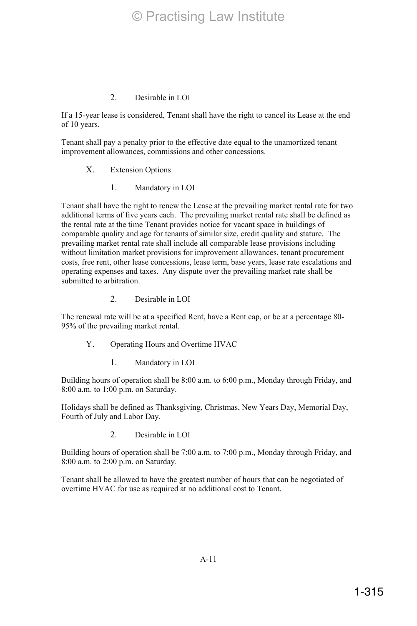If a 15-year lease is considered, Tenant shall have the right to cancel its Lease at the end of 10 years.

Tenant shall pay a penalty prior to the effective date equal to the unamortized tenant improvement allowances, commissions and other concessions.

#### X. Extension Options

1. Mandatory in LOI

Tenant shall have the right to renew the Lease at the prevailing market rental rate for two additional terms of five years each. The prevailing market rental rate shall be defined as the rental rate at the time Tenant provides notice for vacant space in buildings of comparable quality and age for tenants of similar size, credit quality and stature. The prevailing market rental rate shall include all comparable lease provisions including without limitation market provisions for improvement allowances, tenant procurement costs, free rent, other lease concessions, lease term, base years, lease rate escalations and operating expenses and taxes. Any dispute over the prevailing market rate shall be submitted to arbitration.

2. Desirable in LOI

The renewal rate will be at a specified Rent, have a Rent cap, or be at a percentage 80- 95% of the prevailing market rental.

- Y. Operating Hours and Overtime HVAC
	- 1. Mandatory in LOI

Building hours of operation shall be 8:00 a.m. to 6:00 p.m., Monday through Friday, and 8:00 a.m. to 1:00 p.m. on Saturday.

Holidays shall be defined as Thanksgiving, Christmas, New Years Day, Memorial Day, Fourth of July and Labor Day.

2. Desirable in LOI

Building hours of operation shall be 7:00 a.m. to 7:00 p.m., Monday through Friday, and 8:00 a.m. to 2:00 p.m. on Saturday.

Tenant shall be allowed to have the greatest number of hours that can be negotiated of overtime HVAC for use as required at no additional cost to Tenant.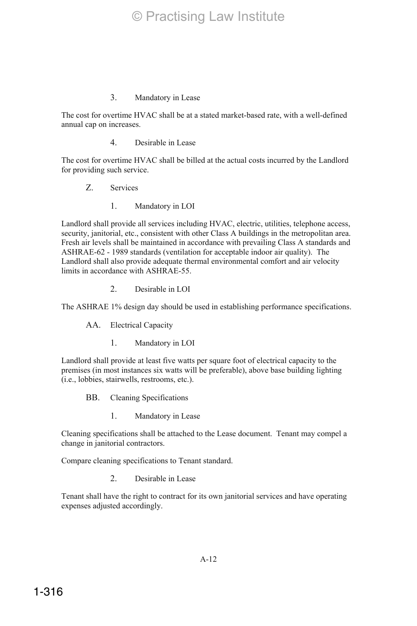# 3. Mandatory in Lease

The cost for overtime HVAC shall be at a stated market-based rate, with a well-defined annual cap on increases.

4. Desirable in Lease

The cost for overtime HVAC shall be billed at the actual costs incurred by the Landlord for providing such service.

- Z. Services
	- 1. Mandatory in LOI

Landlord shall provide all services including HVAC, electric, utilities, telephone access, security, janitorial, etc., consistent with other Class A buildings in the metropolitan area. Fresh air levels shall be maintained in accordance with prevailing Class A standards and ASHRAE-62 - 1989 standards (ventilation for acceptable indoor air quality). The Landlord shall also provide adequate thermal environmental comfort and air velocity limits in accordance with ASHRAE-55.

2. Desirable in LOI

The ASHRAE 1% design day should be used in establishing performance specifications.

AA. Electrical Capacity

1. Mandatory in LOI

Landlord shall provide at least five watts per square foot of electrical capacity to the premises (in most instances six watts will be preferable), above base building lighting (i.e., lobbies, stairwells, restrooms, etc.).

- BB. Cleaning Specifications
	- 1. Mandatory in Lease

Cleaning specifications shall be attached to the Lease document. Tenant may compel a change in janitorial contractors.

Compare cleaning specifications to Tenant standard.

2. Desirable in Lease

Tenant shall have the right to contract for its own janitorial services and have operating expenses adjusted accordingly.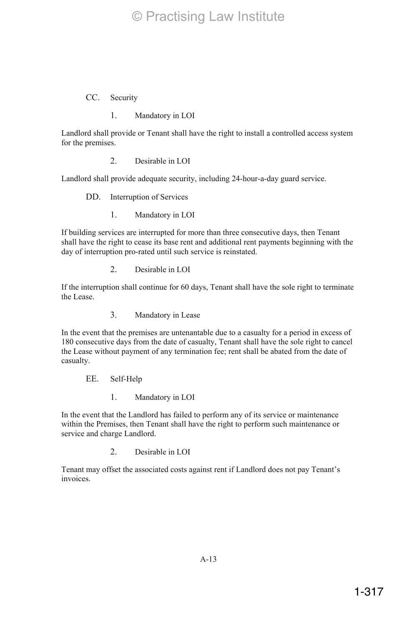CC. Security

1. Mandatory in LOI

Landlord shall provide or Tenant shall have the right to install a controlled access system for the premises.

2. Desirable in LOI

Landlord shall provide adequate security, including 24-hour-a-day guard service.

DD. Interruption of Services

1. Mandatory in LOI

If building services are interrupted for more than three consecutive days, then Tenant shall have the right to cease its base rent and additional rent payments beginning with the day of interruption pro-rated until such service is reinstated.

2. Desirable in LOI

If the interruption shall continue for 60 days, Tenant shall have the sole right to terminate the Lease.

3. Mandatory in Lease

In the event that the premises are untenantable due to a casualty for a period in excess of 180 consecutive days from the date of casualty, Tenant shall have the sole right to cancel the Lease without payment of any termination fee; rent shall be abated from the date of casualty.

EE. Self-Help

1. Mandatory in LOI

In the event that the Landlord has failed to perform any of its service or maintenance within the Premises, then Tenant shall have the right to perform such maintenance or service and charge Landlord.

2. Desirable in LOI

Tenant may offset the associated costs against rent if Landlord does not pay Tenant's invoices.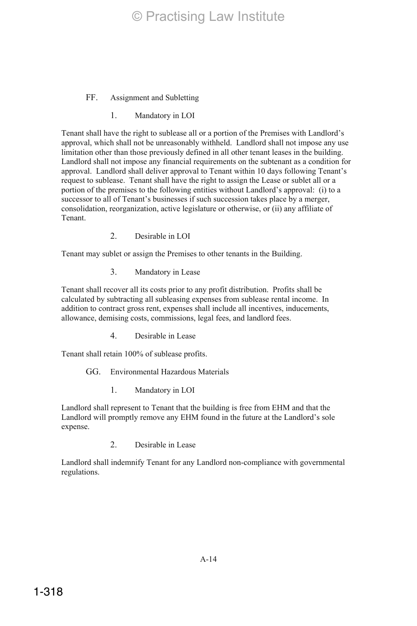- FF. Assignment and Subletting
	- 1. Mandatory in LOI

Tenant shall have the right to sublease all or a portion of the Premises with Landlord's approval, which shall not be unreasonably withheld. Landlord shall not impose any use limitation other than those previously defined in all other tenant leases in the building. Landlord shall not impose any financial requirements on the subtenant as a condition for approval. Landlord shall deliver approval to Tenant within 10 days following Tenant's request to sublease. Tenant shall have the right to assign the Lease or sublet all or a portion of the premises to the following entities without Landlord's approval: (i) to a successor to all of Tenant's businesses if such succession takes place by a merger, consolidation, reorganization, active legislature or otherwise, or (ii) any affiliate of Tenant.

2. Desirable in LOI

Tenant may sublet or assign the Premises to other tenants in the Building.

3. Mandatory in Lease

Tenant shall recover all its costs prior to any profit distribution. Profits shall be calculated by subtracting all subleasing expenses from sublease rental income. In addition to contract gross rent, expenses shall include all incentives, inducements, allowance, demising costs, commissions, legal fees, and landlord fees.

4. Desirable in Lease

Tenant shall retain 100% of sublease profits.

## GG. Environmental Hazardous Materials

1. Mandatory in LOI

Landlord shall represent to Tenant that the building is free from EHM and that the Landlord will promptly remove any EHM found in the future at the Landlord's sole expense.

2. Desirable in Lease

Landlord shall indemnify Tenant for any Landlord non-compliance with governmental regulations.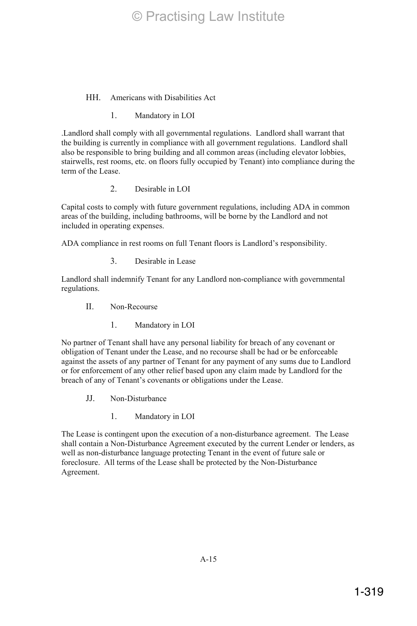#### HH. Americans with Disabilities Act

1. Mandatory in LOI

.Landlord shall comply with all governmental regulations. Landlord shall warrant that the building is currently in compliance with all government regulations. Landlord shall also be responsible to bring building and all common areas (including elevator lobbies, stairwells, rest rooms, etc. on floors fully occupied by Tenant) into compliance during the term of the Lease.

2. Desirable in LOI

Capital costs to comply with future government regulations, including ADA in common areas of the building, including bathrooms, will be borne by the Landlord and not included in operating expenses.

ADA compliance in rest rooms on full Tenant floors is Landlord's responsibility.

3. Desirable in Lease

Landlord shall indemnify Tenant for any Landlord non-compliance with governmental regulations.

- II. Non-Recourse
	- 1. Mandatory in LOI

No partner of Tenant shall have any personal liability for breach of any covenant or obligation of Tenant under the Lease, and no recourse shall be had or be enforceable against the assets of any partner of Tenant for any payment of any sums due to Landlord or for enforcement of any other relief based upon any claim made by Landlord for the breach of any of Tenant's covenants or obligations under the Lease.

- JJ. Non-Disturbance
	- 1. Mandatory in LOI

The Lease is contingent upon the execution of a non-disturbance agreement. The Lease shall contain a Non-Disturbance Agreement executed by the current Lender or lenders, as well as non-disturbance language protecting Tenant in the event of future sale or foreclosure. All terms of the Lease shall be protected by the Non-Disturbance Agreement.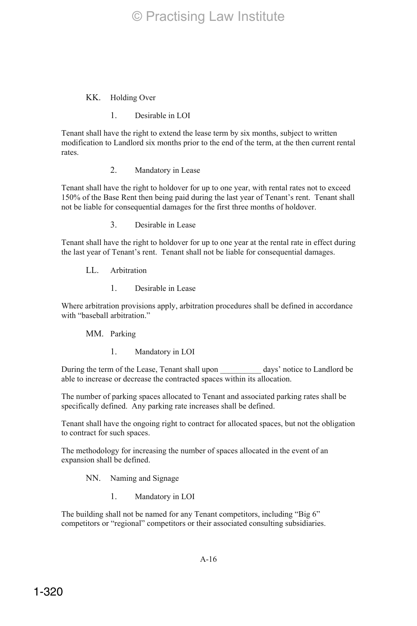#### KK. Holding Over

1. Desirable in LOI

Tenant shall have the right to extend the lease term by six months, subject to written modification to Landlord six months prior to the end of the term, at the then current rental rates.

2. Mandatory in Lease

Tenant shall have the right to holdover for up to one year, with rental rates not to exceed 150% of the Base Rent then being paid during the last year of Tenant's rent. Tenant shall not be liable for consequential damages for the first three months of holdover.

3. Desirable in Lease

Tenant shall have the right to holdover for up to one year at the rental rate in effect during the last year of Tenant's rent. Tenant shall not be liable for consequential damages.

LL. Arbitration

1. Desirable in Lease

Where arbitration provisions apply, arbitration procedures shall be defined in accordance with "baseball arbitration."

MM. Parking

1. Mandatory in LOI

During the term of the Lease, Tenant shall upon days' notice to Landlord be able to increase or decrease the contracted spaces within its allocation.

The number of parking spaces allocated to Tenant and associated parking rates shall be specifically defined. Any parking rate increases shall be defined.

Tenant shall have the ongoing right to contract for allocated spaces, but not the obligation to contract for such spaces.

The methodology for increasing the number of spaces allocated in the event of an expansion shall be defined.

NN. Naming and Signage

1. Mandatory in LOI

The building shall not be named for any Tenant competitors, including "Big 6" competitors or "regional" competitors or their associated consulting subsidiaries.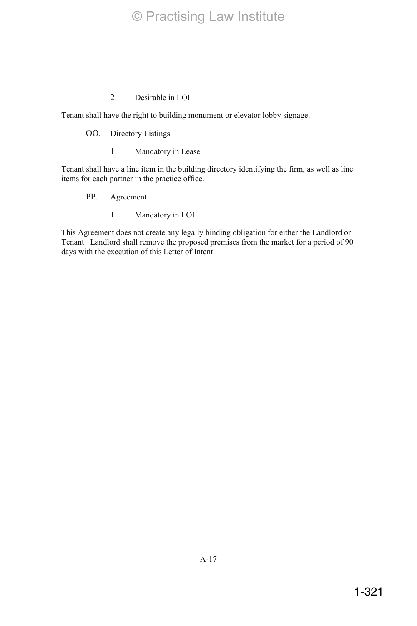Tenant shall have the right to building monument or elevator lobby signage.

## OO. Directory Listings

1. Mandatory in Lease

Tenant shall have a line item in the building directory identifying the firm, as well as line items for each partner in the practice office.

- PP. Agreement
	- 1. Mandatory in LOI

This Agreement does not create any legally binding obligation for either the Landlord or Tenant. Landlord shall remove the proposed premises from the market for a period of 90 days with the execution of this Letter of Intent.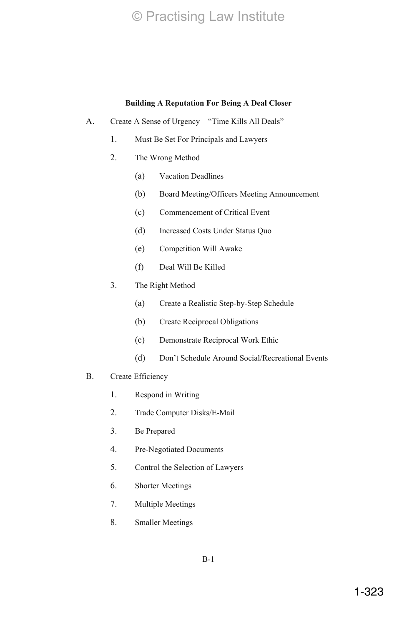# **Building A Reputation For Being A Deal Closer**

- A. Create A Sense of Urgency "Time Kills All Deals"
	- 1. Must Be Set For Principals and Lawyers
	- 2. The Wrong Method
		- (a) Vacation Deadlines
		- (b) Board Meeting/Officers Meeting Announcement
		- (c) Commencement of Critical Event
		- (d) Increased Costs Under Status Quo
		- (e) Competition Will Awake
		- (f) Deal Will Be Killed
	- 3. The Right Method
		- (a) Create a Realistic Step-by-Step Schedule
		- (b) Create Reciprocal Obligations
		- (c) Demonstrate Reciprocal Work Ethic
		- (d) Don't Schedule Around Social/Recreational Events

# B. Create Efficiency

- 1. Respond in Writing
- 2. Trade Computer Disks/E-Mail
- 3. Be Prepared
- 4. Pre-Negotiated Documents
- 5. Control the Selection of Lawyers
- 6. Shorter Meetings
- 7. Multiple Meetings
- 8. Smaller Meetings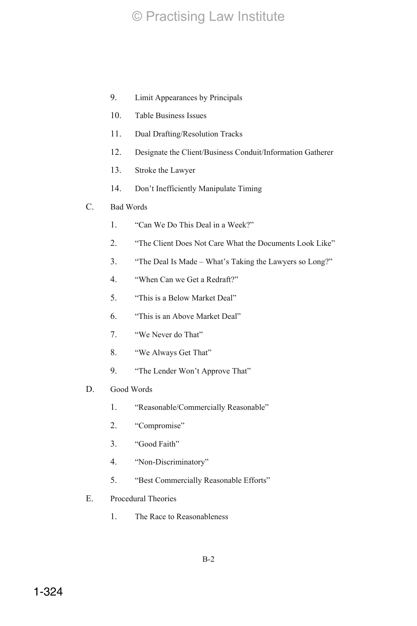- 9. Limit Appearances by Principals
- 10. Table Business Issues
- 11. Dual Drafting/Resolution Tracks
- 12. Designate the Client/Business Conduit/Information Gatherer
- 13. Stroke the Lawyer
- 14. Don't Inefficiently Manipulate Timing

# C. Bad Words

- 1. "Can We Do This Deal in a Week?"
- 2. "The Client Does Not Care What the Documents Look Like"
- 3. "The Deal Is Made What's Taking the Lawyers so Long?"
- 4. "When Can we Get a Redraft?"
- 5. "This is a Below Market Deal"
- 6. "This is an Above Market Deal"
- 7. "We Never do That"
- 8. "We Always Get That"
- 9. "The Lender Won't Approve That"
- D. Good Words
	- 1. "Reasonable/Commercially Reasonable"
	- 2. "Compromise"
	- 3. "Good Faith"
	- 4. "Non-Discriminatory"
	- 5. "Best Commercially Reasonable Efforts"
- E. Procedural Theories
	- 1. The Race to Reasonableness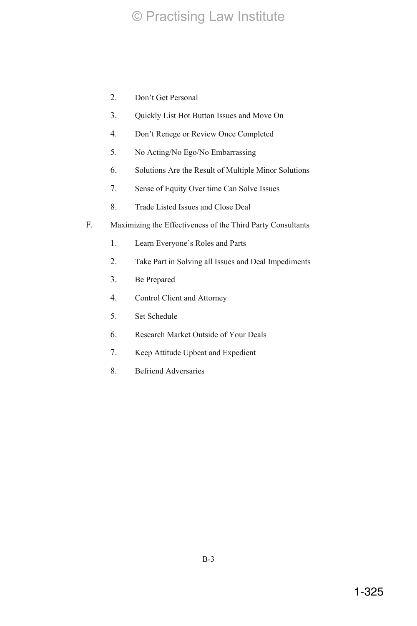- 2. Don't Get Personal
- 3. Quickly List Hot Button Issues and Move On
- 4. Don't Renege or Review Once Completed
- 5. No Acting/No Ego/No Embarrassing
- 6. Solutions Are the Result of Multiple Minor Solutions
- 7. Sense of Equity Over time Can Solve Issues
- 8. Trade Listed Issues and Close Deal
- F. Maximizing the Effectiveness of the Third Party Consultants
	- 1. Learn Everyone's Roles and Parts
	- 2. Take Part in Solving all Issues and Deal Impediments
	- 3. Be Prepared
	- 4. Control Client and Attorney
	- 5. Set Schedule
	- 6. Research Market Outside of Your Deals
	- 7. Keep Attitude Upbeat and Expedient
	- 8. Befriend Adversaries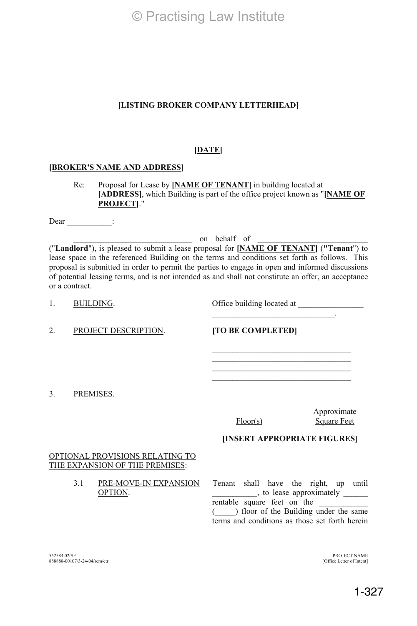#### **[LISTING BROKER COMPANY LETTERHEAD]**

#### **[DATE]**

#### **[BROKER'S NAME AND ADDRESS]**

Re: Proposal for Lease by **[NAME OF TENANT]** in building located at **[ADDRESS]**, which Building is part of the office project known as "**[NAME OF PROJECT]**."

Dear \_\_\_\_\_\_\_\_\_\_\_\_\_:

on behalf of

("**Landlord**"), is pleased to submit a lease proposal for **[NAME OF TENANT]** (**"Tenant**") to lease space in the referenced Building on the terms and conditions set forth as follows. This proposal is submitted in order to permit the parties to engage in open and informed discussions of potential leasing terms, and is not intended as and shall not constitute an offer, an acceptance or a contract.

1. BUILDING. Office building located at \_\_\_\_\_\_\_\_\_\_\_\_\_\_\_\_

 $\mathcal{L}_\text{max}$  and  $\mathcal{L}_\text{max}$  and  $\mathcal{L}_\text{max}$  and  $\mathcal{L}_\text{max}$ 

2. PROJECT DESCRIPTION. **[TO BE COMPLETED]** 

3. PREMISES.

Floor(s)

Approximate Square Feet

**[INSERT APPROPRIATE FIGURES]** 

#### OPTIONAL PROVISIONS RELATING TO THE EXPANSION OF THE PREMISES:

3.1 PRE-MOVE-IN EXPANSION OPTION.

Tenant shall have the right, up until  $\qquad$ , to lease approximately  $\qquad$ rentable square feet on the  $($   $)$  floor of the Building under the same terms and conditions as those set forth herein

552584.02/SF 888888-00107/3-24-04/rcm/ctr

PROJECT NAME [Office Letter of Intent]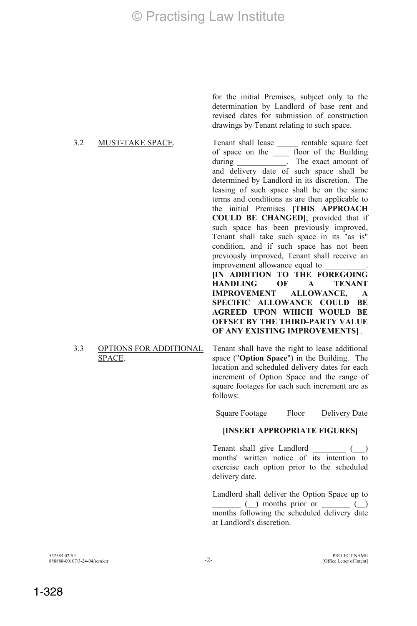# 3.2 MUST-TAKE SPACE. Tenant shall lease \_\_\_\_\_\_ rentable square feet

for the initial Premises, subject only to the determination by Landlord of base rent and revised dates for submission of construction drawings by Tenant relating to such space.

of space on the \_\_\_\_ floor of the Building during \_\_\_\_\_\_\_\_\_\_\_\_\_. The exact amount of and delivery date of such space shall be determined by Landlord in its discretion. The leasing of such space shall be on the same terms and conditions as are then applicable to the initial Premises **[THIS APPROACH COULD BE CHANGED]**; provided that if such space has been previously improved, Tenant shall take such space in its "as is" condition, and if such space has not been previously improved, Tenant shall receive an improvement allowance equal to **[IN ADDITION TO THE FOREGOING HANDLING OF A TENANT IMPROVEMENT ALLOWANCE, A SPECIFIC ALLOWANCE COULD BE AGREED UPON WHICH WOULD BE OFFSET BY THE THIRD-PARTY VALUE** 

#### 3.3 OPTIONS FOR ADDITIONAL SPACE.

Tenant shall have the right to lease additional space ("**Option Space**") in the Building. The location and scheduled delivery dates for each increment of Option Space and the range of square footages for each such increment are as follows:

**OF ANY EXISTING IMPROVEMENTS]** .

Square Footage Floor Delivery Date

# **[INSERT APPROPRIATE FIGURES]**

Tenant shall give Landlord () months' written notice of its intention to exercise each option prior to the scheduled delivery date.

 Landlord shall deliver the Option Space up to  $\Box$  months prior or  $\Box$ months following the scheduled delivery date at Landlord's discretion.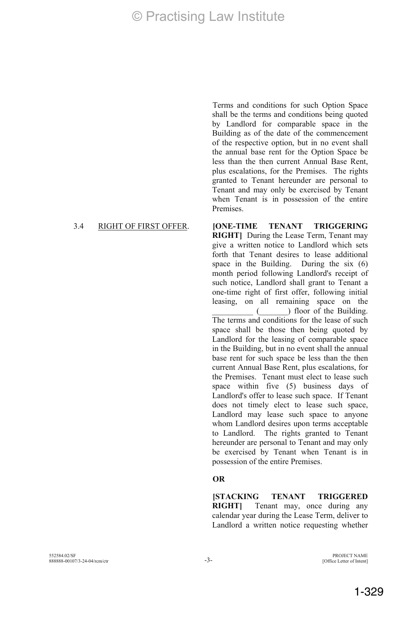Terms and conditions for such Option Space shall be the terms and conditions being quoted by Landlord for comparable space in the Building as of the date of the commencement of the respective option, but in no event shall the annual base rent for the Option Space be less than the then current Annual Base Rent, plus escalations, for the Premises. The rights granted to Tenant hereunder are personal to Tenant and may only be exercised by Tenant when Tenant is in possession of the entire Premises.

#### 3.4 RIGHT OF FIRST OFFER. **[ONE-TIME TENANT TRIGGERING**

**RIGHT]** During the Lease Term, Tenant may give a written notice to Landlord which sets forth that Tenant desires to lease additional space in the Building. During the six (6) month period following Landlord's receipt of such notice, Landlord shall grant to Tenant a one-time right of first offer, following initial leasing, on all remaining space on the  $($  ) floor of the Building. The terms and conditions for the lease of such space shall be those then being quoted by Landlord for the leasing of comparable space in the Building, but in no event shall the annual base rent for such space be less than the then current Annual Base Rent, plus escalations, for the Premises. Tenant must elect to lease such space within five (5) business days of Landlord's offer to lease such space. If Tenant does not timely elect to lease such space, Landlord may lease such space to anyone whom Landlord desires upon terms acceptable to Landlord. The rights granted to Tenant hereunder are personal to Tenant and may only be exercised by Tenant when Tenant is in possession of the entire Premises.

#### **OR**

**[STACKING TENANT TRIGGERED RIGHT]** Tenant may, once during any calendar year during the Lease Term, deliver to Landlord a written notice requesting whether

[Office Letter of Intent]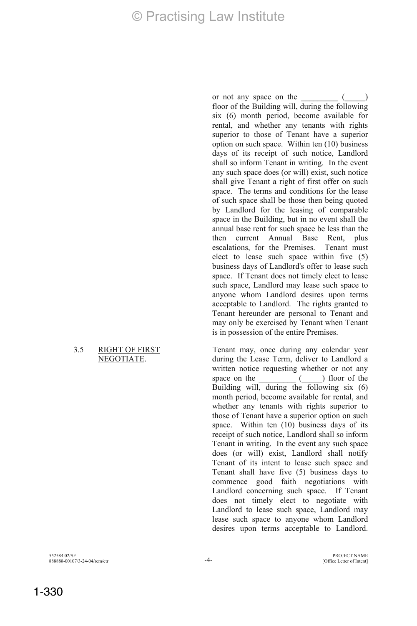#### 3.5 RIGHT OF FIRST NEGOTIATE.

or not any space on the  $($ floor of the Building will, during the following six (6) month period, become available for rental, and whether any tenants with rights superior to those of Tenant have a superior option on such space. Within ten (10) business days of its receipt of such notice, Landlord shall so inform Tenant in writing. In the event any such space does (or will) exist, such notice shall give Tenant a right of first offer on such space. The terms and conditions for the lease of such space shall be those then being quoted by Landlord for the leasing of comparable space in the Building, but in no event shall the annual base rent for such space be less than the then current Annual Base Rent, plus escalations, for the Premises. Tenant must elect to lease such space within five (5) business days of Landlord's offer to lease such space. If Tenant does not timely elect to lease such space, Landlord may lease such space to anyone whom Landlord desires upon terms acceptable to Landlord. The rights granted to Tenant hereunder are personal to Tenant and may only be exercised by Tenant when Tenant is in possession of the entire Premises.

Tenant may, once during any calendar year during the Lease Term, deliver to Landlord a written notice requesting whether or not any space on the  $($ ) floor of the Building will, during the following six (6) month period, become available for rental, and whether any tenants with rights superior to those of Tenant have a superior option on such space. Within ten (10) business days of its receipt of such notice, Landlord shall so inform Tenant in writing. In the event any such space does (or will) exist, Landlord shall notify Tenant of its intent to lease such space and Tenant shall have five (5) business days to commence good faith negotiations with Landlord concerning such space. If Tenant does not timely elect to negotiate with Landlord to lease such space, Landlord may lease such space to anyone whom Landlord desires upon terms acceptable to Landlord.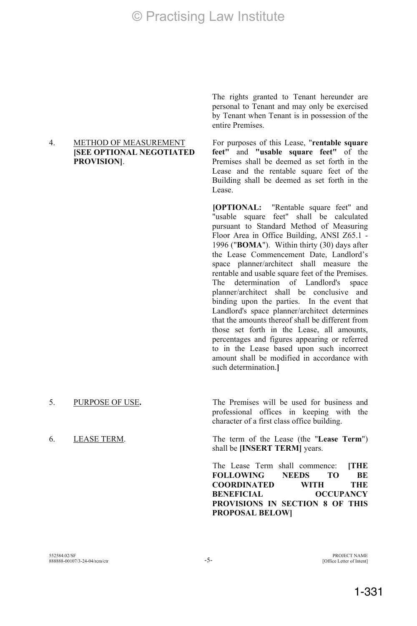#### 4. METHOD OF MEASUREMENT **[SEE OPTIONAL NEGOTIATED PROVISION]**.

The rights granted to Tenant hereunder are personal to Tenant and may only be exercised by Tenant when Tenant is in possession of the entire Premises.

For purposes of this Lease, "**rentable square feet"** and **"usable square feet"** of the Premises shall be deemed as set forth in the Lease and the rentable square feet of the Building shall be deemed as set forth in the Lease.

**[OPTIONAL:** "Rentable square feet" and "usable square feet" shall be calculated pursuant to Standard Method of Measuring Floor Area in Office Building, ANSI Z65.1 - 1996 ("**BOMA**"). Within thirty (30) days after the Lease Commencement Date, Landlord's space planner/architect shall measure the rentable and usable square feet of the Premises. The determination of Landlord's space planner/architect shall be conclusive and binding upon the parties. In the event that Landlord's space planner/architect determines that the amounts thereof shall be different from those set forth in the Lease, all amounts, percentages and figures appearing or referred to in the Lease based upon such incorrect amount shall be modified in accordance with such determination.**]**

5. PURPOSE OF USE**.** The Premises will be used for business and professional offices in keeping with the character of a first class office building.

6. LEASE TERM. The term of the Lease (the "**Lease Term**") shall be **[INSERT TERM]** years.

> The Lease Term shall commence: **[THE FOLLOWING NEEDS TO BE COORDINATED WITH THE BENEFICIAL OCCUPANCY PROVISIONS IN SECTION 8 OF THIS PROPOSAL BELOW]**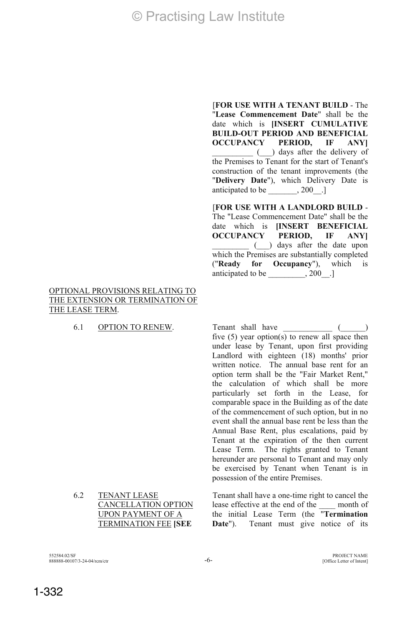#### OPTIONAL PROVISIONS RELATING TO THE EXTENSION OR TERMINATION OF THE LEASE TERM.

"**Lease Commencement Date**" shall be the date which is **[INSERT CUMULATIVE BUILD-OUT PERIOD AND BENEFICIAL OCCUPANCY PERIOD, IF ANY]** \_\_\_\_\_\_\_\_\_\_ (\_\_\_) days after the delivery of the Premises to Tenant for the start of Tenant's construction of the tenant improvements (the "**Delivery Date**"), which Delivery Date is anticipated to be \_\_\_\_\_\_\_\_, 200\_\_.]

[**FOR USE WITH A TENANT BUILD** - The

[**FOR USE WITH A LANDLORD BUILD** - The "Lease Commencement Date" shall be the date which is **[INSERT BENEFICIAL OCCUPANCY PERIOD, IF ANY]** \_\_\_\_\_\_\_\_\_ (\_\_\_) days after the date upon which the Premises are substantially completed ("**Ready for Occupancy**"), which is anticipated to be  $\qquad \qquad .200$  .]

6.1 OPTION TO RENEW. Tenant shall have  $($ five (5) year option(s) to renew all space then under lease by Tenant, upon first providing Landlord with eighteen (18) months' prior written notice. The annual base rent for an option term shall be the "Fair Market Rent," the calculation of which shall be more particularly set forth in the Lease, for comparable space in the Building as of the date of the commencement of such option, but in no event shall the annual base rent be less than the Annual Base Rent, plus escalations, paid by Tenant at the expiration of the then current Lease Term. The rights granted to Tenant hereunder are personal to Tenant and may only be exercised by Tenant when Tenant is in possession of the entire Premises.

6.2 TENANT LEASE CANCELLATION OPTION UPON PAYMENT OF A TERMINATION FEE **[SEE** 

Tenant shall have a one-time right to cancel the lease effective at the end of the \_\_\_\_ month of the initial Lease Term (the "**Termination**  Date"). Tenant must give notice of its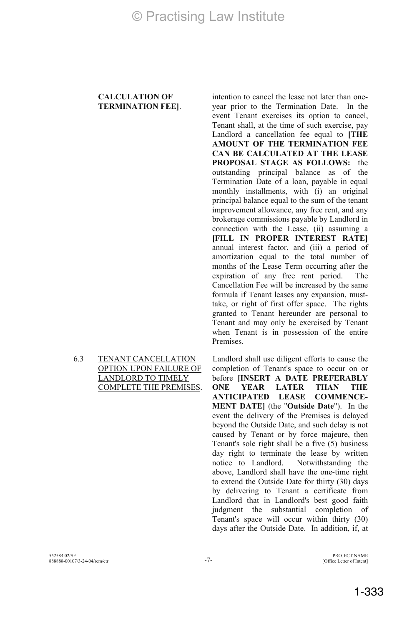#### **CALCULATION OF TERMINATION FEE]**.

6.3 TENANT CANCELLATION OPTION UPON FAILURE OF LANDLORD TO TIMELY COMPLETE THE PREMISES.

intention to cancel the lease not later than oneyear prior to the Termination Date. In the event Tenant exercises its option to cancel, Tenant shall, at the time of such exercise, pay Landlord a cancellation fee equal to **[THE AMOUNT OF THE TERMINATION FEE CAN BE CALCULATED AT THE LEASE PROPOSAL STAGE AS FOLLOWS:** the outstanding principal balance as of the Termination Date of a loan, payable in equal monthly installments, with (i) an original principal balance equal to the sum of the tenant improvement allowance, any free rent, and any brokerage commissions payable by Landlord in connection with the Lease, (ii) assuming a **[FILL IN PROPER INTEREST RATE]** annual interest factor, and (iii) a period of amortization equal to the total number of months of the Lease Term occurring after the expiration of any free rent period. The Cancellation Fee will be increased by the same formula if Tenant leases any expansion, musttake, or right of first offer space. The rights granted to Tenant hereunder are personal to Tenant and may only be exercised by Tenant when Tenant is in possession of the entire Premises.

Landlord shall use diligent efforts to cause the completion of Tenant's space to occur on or before **[INSERT A DATE PREFERABLY ONE YEAR LATER THAN THE ANTICIPATED LEASE COMMENCE-MENT DATE]** (the "**Outside Date**"). In the event the delivery of the Premises is delayed beyond the Outside Date, and such delay is not caused by Tenant or by force majeure, then Tenant's sole right shall be a five  $(5)$  business day right to terminate the lease by written notice to Landlord. Notwithstanding the above, Landlord shall have the one-time right to extend the Outside Date for thirty (30) days by delivering to Tenant a certificate from Landlord that in Landlord's best good faith judgment the substantial completion of Tenant's space will occur within thirty (30) days after the Outside Date. In addition, if, at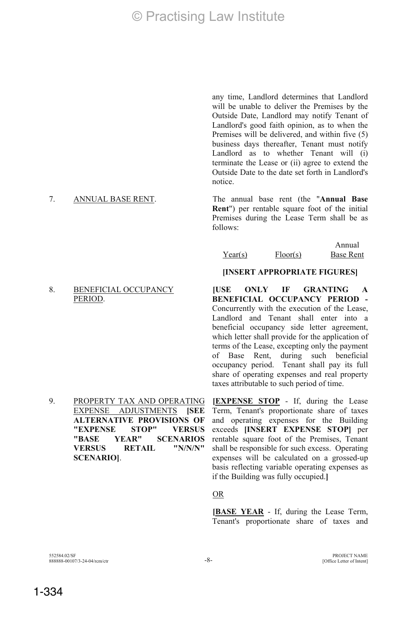any time, Landlord determines that Landlord will be unable to deliver the Premises by the Outside Date, Landlord may notify Tenant of Landlord's good faith opinion, as to when the Premises will be delivered, and within five (5) business days thereafter, Tenant must notify Landlord as to whether Tenant will (i) terminate the Lease or (ii) agree to extend the Outside Date to the date set forth in Landlord's notice.

7. ANNUAL BASE RENT. The annual base rent (the "**Annual Base Rent**") per rentable square foot of the initial Premises during the Lease Term shall be as follows:

#### Year(s) Floor(s) Annual Base Rent

#### **[INSERT APPROPRIATE FIGURES]**

**[USE ONLY IF GRANTING A BENEFICIAL OCCUPANCY PERIOD -**  Concurrently with the execution of the Lease, Landlord and Tenant shall enter into a beneficial occupancy side letter agreement, which letter shall provide for the application of terms of the Lease, excepting only the payment of Base Rent, during such beneficial occupancy period. Tenant shall pay its full share of operating expenses and real property taxes attributable to such period of time.

9. PROPERTY TAX AND OPERATING EXPENSE ADJUSTMENTS **[SEE ALTERNATIVE PROVISIONS OF "EXPENSE STOP" VERSUS "BASE YEAR" SCENARIOS VERSUS RETAIL "N/N/N" SCENARIO]**.

**[EXPENSE STOP** - If, during the Lease Term, Tenant's proportionate share of taxes and operating expenses for the Building exceeds **[INSERT EXPENSE STOP]** per rentable square foot of the Premises, Tenant shall be responsible for such excess. Operating expenses will be calculated on a grossed-up basis reflecting variable operating expenses as if the Building was fully occupied.**]**

#### <u>OR</u>

**[BASE YEAR** - If, during the Lease Term, Tenant's proportionate share of taxes and

## 8. BENEFICIAL OCCUPANCY

PERIOD.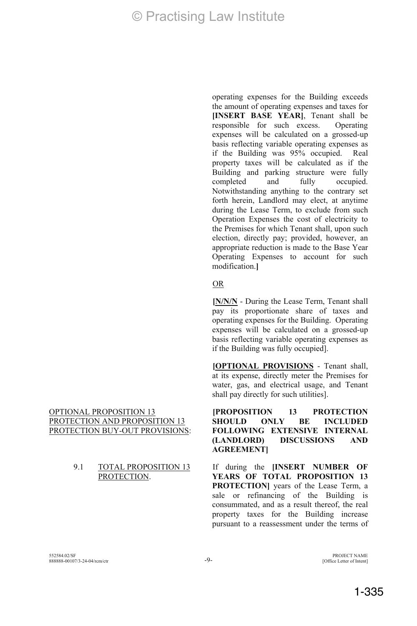operating expenses for the Building exceeds the amount of operating expenses and taxes for **[INSERT BASE YEAR]**, Tenant shall be responsible for such excess. Operating expenses will be calculated on a grossed-up basis reflecting variable operating expenses as if the Building was 95% occupied. Real property taxes will be calculated as if the Building and parking structure were fully completed and fully occupied. Notwithstanding anything to the contrary set forth herein, Landlord may elect, at anytime during the Lease Term, to exclude from such Operation Expenses the cost of electricity to the Premises for which Tenant shall, upon such election, directly pay; provided, however, an appropriate reduction is made to the Base Year Operating Expenses to account for such modification.**]**

#### **OR**

**[N/N/N** - During the Lease Term, Tenant shall pay its proportionate share of taxes and operating expenses for the Building. Operating expenses will be calculated on a grossed-up basis reflecting variable operating expenses as if the Building was fully occupied].

**[OPTIONAL PROVISIONS** - Tenant shall, at its expense, directly meter the Premises for water, gas, and electrical usage, and Tenant shall pay directly for such utilities].

**[PROPOSITION 13 PROTECTION SHOULD ONLY BE INCLUDED FOLLOWING EXTENSIVE INTERNAL (LANDLORD) DISCUSSIONS AND AGREEMENT]** 

If during the **[INSERT NUMBER OF YEARS OF TOTAL PROPOSITION 13 PROTECTION]** years of the Lease Term, a sale or refinancing of the Building is consummated, and as a result thereof, the real property taxes for the Building increase pursuant to a reassessment under the terms of

### OPTIONAL PROPOSITION 13 PROTECTION AND PROPOSITION 13 PROTECTION BUY-OUT PROVISIONS:

#### 9.1 TOTAL PROPOSITION 13 PROTECTION.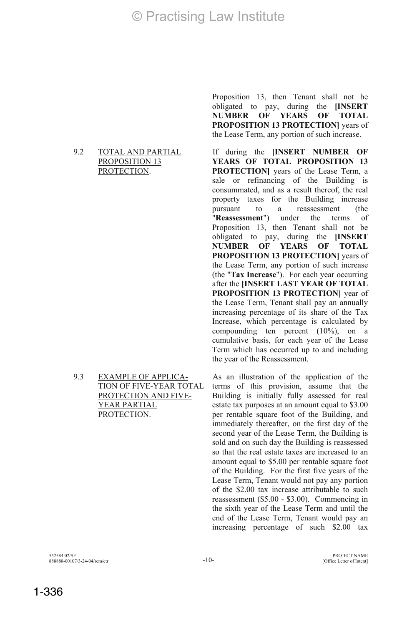#### 9.2 TOTAL AND PARTIAL PROPOSITION 13 PROTECTION.

9.3 EXAMPLE OF APPLICA-TION OF FIVE-YEAR TOTAL PROTECTION AND FIVE-YEAR PARTIAL PROTECTION.

Proposition 13, then Tenant shall not be obligated to pay, during the **[INSERT NUMBER OF YEARS OF TOTAL PROPOSITION 13 PROTECTION]** years of the Lease Term, any portion of such increase.

If during the **[INSERT NUMBER OF YEARS OF TOTAL PROPOSITION 13 PROTECTION]** years of the Lease Term, a sale or refinancing of the Building is consummated, and as a result thereof, the real property taxes for the Building increase pursuant to a reassessment (the "**Reassessment**") under the terms of Proposition 13, then Tenant shall not be obligated to pay, during the **[INSERT NUMBER OF YEARS OF TOTAL PROPOSITION 13 PROTECTION]** years of the Lease Term, any portion of such increase (the "**Tax Increase**"). For each year occurring after the **[INSERT LAST YEAR OF TOTAL PROPOSITION 13 PROTECTION]** year of the Lease Term, Tenant shall pay an annually increasing percentage of its share of the Tax Increase, which percentage is calculated by compounding ten percent (10%), on a cumulative basis, for each year of the Lease Term which has occurred up to and including the year of the Reassessment.

As an illustration of the application of the terms of this provision, assume that the Building is initially fully assessed for real estate tax purposes at an amount equal to \$3.00 per rentable square foot of the Building, and immediately thereafter, on the first day of the second year of the Lease Term, the Building is sold and on such day the Building is reassessed so that the real estate taxes are increased to an amount equal to \$5.00 per rentable square foot of the Building. For the first five years of the Lease Term, Tenant would not pay any portion of the \$2.00 tax increase attributable to such reassessment (\$5.00 - \$3.00). Commencing in the sixth year of the Lease Term and until the end of the Lease Term, Tenant would pay an increasing percentage of such \$2.00 tax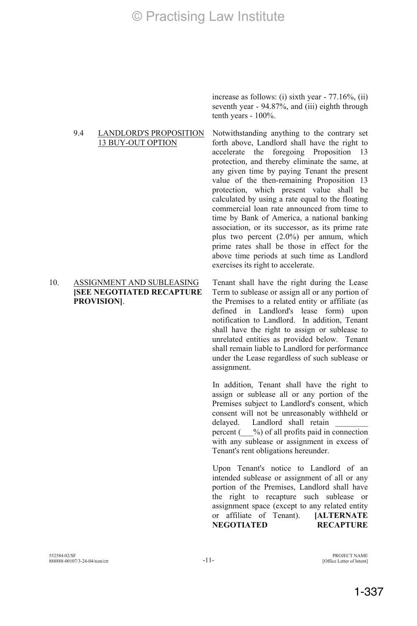9.4 LANDLORD'S PROPOSITION 13 BUY-OUT OPTION

#### 10. ASSIGNMENT AND SUBLEASING **[SEE NEGOTIATED RECAPTURE PROVISION]**.

increase as follows: (i) sixth year - 77.16%, (ii) seventh year - 94.87%, and (iii) eighth through tenth years - 100%.

Notwithstanding anything to the contrary set forth above, Landlord shall have the right to accelerate the foregoing Proposition protection, and thereby eliminate the same, at any given time by paying Tenant the present value of the then-remaining Proposition 13 protection, which present value shall be calculated by using a rate equal to the floating commercial loan rate announced from time to time by Bank of America, a national banking association, or its successor, as its prime rate plus two percent (2.0%) per annum, which prime rates shall be those in effect for the above time periods at such time as Landlord exercises its right to accelerate.

Tenant shall have the right during the Lease Term to sublease or assign all or any portion of the Premises to a related entity or affiliate (as defined in Landlord's lease form) upon notification to Landlord. In addition, Tenant shall have the right to assign or sublease to unrelated entities as provided below. Tenant shall remain liable to Landlord for performance under the Lease regardless of such sublease or assignment.

 In addition, Tenant shall have the right to assign or sublease all or any portion of the Premises subject to Landlord's consent, which consent will not be unreasonably withheld or delayed. Landlord shall retain percent  $($   $\%$ ) of all profits paid in connection with any sublease or assignment in excess of Tenant's rent obligations hereunder.

Upon Tenant's notice to Landlord of an intended sublease or assignment of all or any portion of the Premises, Landlord shall have the right to recapture such sublease or assignment space (except to any related entity or affiliate of Tenant). **[ALTERNATE NEGOTIATED RECAPTURE**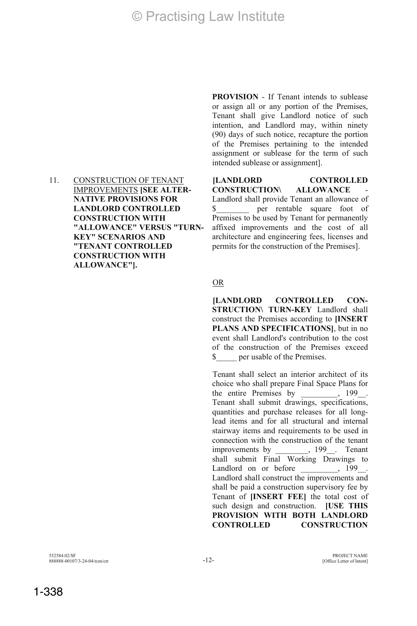11. CONSTRUCTION OF TENANT IMPROVEMENTS **[SEE ALTER-NATIVE PROVISIONS FOR LANDLORD CONTROLLED CONSTRUCTION WITH "ALLOWANCE" VERSUS "TURN-KEY" SCENARIOS AND "TENANT CONTROLLED CONSTRUCTION WITH ALLOWANCE"].**

**PROVISION** - If Tenant intends to sublease or assign all or any portion of the Premises, Tenant shall give Landlord notice of such intention, and Landlord may, within ninety (90) days of such notice, recapture the portion of the Premises pertaining to the intended assignment or sublease for the term of such intended sublease or assignment].

**[LANDLORD CONTROLLED CONSTRUCTION\ ALLOWANCE** Landlord shall provide Tenant an allowance of \$\_\_\_\_\_\_\_\_ per rentable square foot of Premises to be used by Tenant for permanently affixed improvements and the cost of all architecture and engineering fees, licenses and permits for the construction of the Premises].

#### **OR**

**[LANDLORD CONTROLLED CON-STRUCTION\ TURN-KEY** Landlord shall construct the Premises according to **[INSERT PLANS AND SPECIFICATIONS]**, but in no event shall Landlord's contribution to the cost of the construction of the Premises exceed \$\_\_\_\_\_ per usable of the Premises.

 Tenant shall select an interior architect of its choice who shall prepare Final Space Plans for the entire Premises by  $199$ . Tenant shall submit drawings, specifications, quantities and purchase releases for all longlead items and for all structural and internal stairway items and requirements to be used in connection with the construction of the tenant improvements by  $199$ . Tenant shall submit Final Working Drawings to Landlord on or before Landlord shall construct the improvements and shall be paid a construction supervisory fee by Tenant of **[INSERT FEE]** the total cost of such design and construction. **[USE THIS PROVISION WITH BOTH LANDLORD CONTROLLED CONSTRUCTION**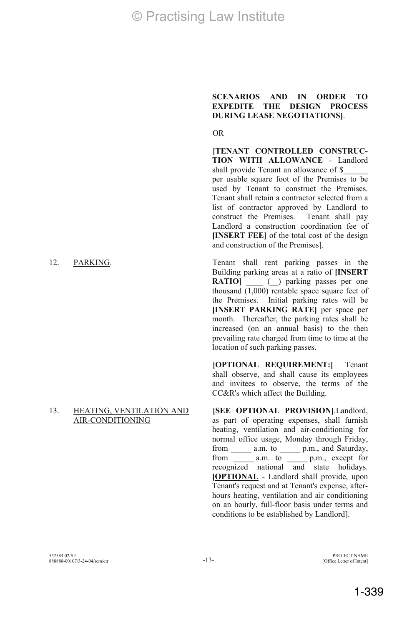#### 13. HEATING, VENTILATION AND AIR-CONDITIONING

**SCENARIOS AND IN ORDER TO EXPEDITE THE DESIGN PROCESS DURING LEASE NEGOTIATIONS]**.

#### <u>OR</u>

**[TENANT CONTROLLED CONSTRUC-TION WITH ALLOWANCE** - Landlord shall provide Tenant an allowance of \$ per usable square foot of the Premises to be used by Tenant to construct the Premises. Tenant shall retain a contractor selected from a list of contractor approved by Landlord to construct the Premises. Tenant shall pay Landlord a construction coordination fee of **[INSERT FEE]** of the total cost of the design and construction of the Premises].

12. PARKING. Tenant shall rent parking passes in the Building parking areas at a ratio of **[INSERT RATIO**  $($  ) parking passes per one thousand  $\overline{(1,000)}$  rentable space square feet of the Premises. Initial parking rates will be **[INSERT PARKING RATE]** per space per month. Thereafter, the parking rates shall be increased (on an annual basis) to the then prevailing rate charged from time to time at the location of such parking passes.

> **[OPTIONAL REQUIREMENT:]** Tenant shall observe, and shall cause its employees and invitees to observe, the terms of the CC&R's which affect the Building.

> **[SEE OPTIONAL PROVISION]**.Landlord, as part of operating expenses, shall furnish heating, ventilation and air-conditioning for normal office usage, Monday through Friday, from \_\_\_\_\_ a.m. to \_\_\_\_\_ p.m., and Saturday, from \_\_\_\_\_\_ a.m. to \_\_\_\_\_\_ p.m., except for recognized national and state holidays. **[OPTIONAL** - Landlord shall provide, upon Tenant's request and at Tenant's expense, afterhours heating, ventilation and air conditioning on an hourly, full-floor basis under terms and conditions to be established by Landlord].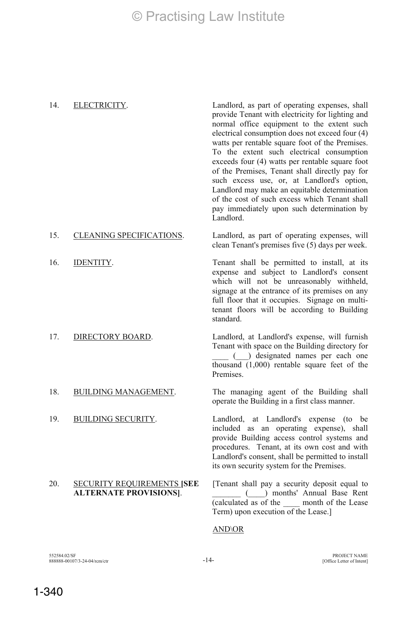14. ELECTRICITY. Landlord, as part of operating expenses, shall provide Tenant with electricity for lighting and normal office equipment to the extent such electrical consumption does not exceed four (4) watts per rentable square foot of the Premises. To the extent such electrical consumption exceeds four (4) watts per rentable square foot of the Premises, Tenant shall directly pay for such excess use, or, at Landlord's option, Landlord may make an equitable determination of the cost of such excess which Tenant shall pay immediately upon such determination by Landlord.

#### 15. CLEANING SPECIFICATIONS. Landlord, as part of operating expenses, will clean Tenant's premises five (5) days per week.

16. IDENTITY. Tenant shall be permitted to install, at its

#### 20. SECURITY REQUIREMENTS **[SEE ALTERNATE PROVISIONS]**.

full floor that it occupies. Signage on multitenant floors will be according to Building standard. 17. DIRECTORY BOARD. Landlord, at Landlord's expense, will furnish Tenant with space on the Building directory for \_\_\_\_ (\_\_\_) designated names per each one

expense and subject to Landlord's consent which will not be unreasonably withheld, signage at the entrance of its premises on any

thousand (1,000) rentable square feet of the **Premises** 

18. BUILDING MANAGEMENT. The managing agent of the Building shall operate the Building in a first class manner.

19. BUILDING SECURITY. Landlord, at Landlord's expense (to be included as an operating expense), shall provide Building access control systems and procedures. Tenant, at its own cost and with Landlord's consent, shall be permitted to install its own security system for the Premises.

> [Tenant shall pay a security deposit equal to \_\_\_\_\_\_\_ (\_\_\_\_) months' Annual Base Rent (calculated as of the \_\_\_\_ month of the Lease Term) upon execution of the Lease.]

### AND\OR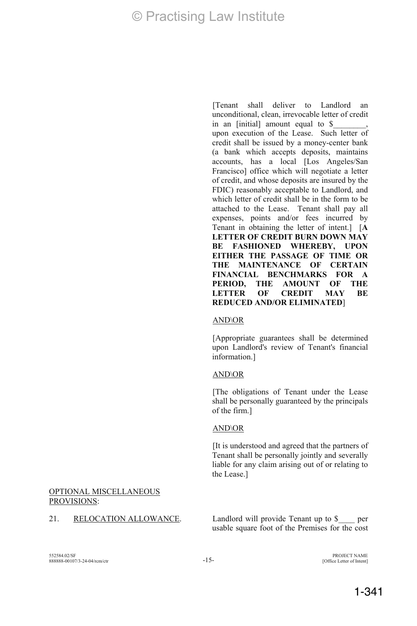[Tenant shall deliver to Landlord an unconditional, clean, irrevocable letter of credit in an [initial] amount equal to \$ upon execution of the Lease. Such letter of credit shall be issued by a money-center bank (a bank which accepts deposits, maintains accounts, has a local [Los Angeles/San Francisco] office which will negotiate a letter of credit, and whose deposits are insured by the FDIC) reasonably acceptable to Landlord, and which letter of credit shall be in the form to be attached to the Lease. Tenant shall pay all expenses, points and/or fees incurred by Tenant in obtaining the letter of intent.] [**A LETTER OF CREDIT BURN DOWN MAY BE FASHIONED WHEREBY, UPON EITHER THE PASSAGE OF TIME OR THE MAINTENANCE OF CERTAIN FINANCIAL BENCHMARKS FOR A PERIOD, THE AMOUNT OF THE LETTER OF CREDIT MAY BE REDUCED AND/OR ELIMINATED**]

#### AND\OR

[Appropriate guarantees shall be determined upon Landlord's review of Tenant's financial information.]

### AND\OR

[The obligations of Tenant under the Lease shall be personally guaranteed by the principals of the firm.]

### AND\OR

[It is understood and agreed that the partners of Tenant shall be personally jointly and severally liable for any claim arising out of or relating to the Lease.]

### OPTIONAL MISCELLANEOUS PROVISIONS:

21. RELOCATION ALLOWANCE. Landlord will provide Tenant up to \$ usable square foot of the Premises for the cost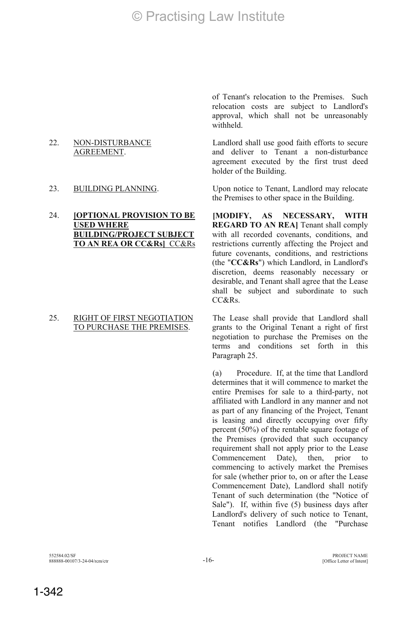22. NON-DISTURBANCE AGREEMENT.

#### 24. **[OPTIONAL PROVISION TO BE USED WHERE BUILDING/PROJECT SUBJECT TO AN REA OR CC&Rs]** CC&Rs

#### 25. RIGHT OF FIRST NEGOTIATION TO PURCHASE THE PREMISES.

of Tenant's relocation to the Premises. Such relocation costs are subject to Landlord's approval, which shall not be unreasonably withheld.

Landlord shall use good faith efforts to secure and deliver to Tenant a non-disturbance agreement executed by the first trust deed holder of the Building.

23. BUILDING PLANNING. Upon notice to Tenant, Landlord may relocate the Premises to other space in the Building.

> **[MODIFY, AS NECESSARY, WITH REGARD TO AN REA]** Tenant shall comply with all recorded covenants, conditions, and restrictions currently affecting the Project and future covenants, conditions, and restrictions (the "**CC&Rs**") which Landlord, in Landlord's discretion, deems reasonably necessary or desirable, and Tenant shall agree that the Lease shall be subject and subordinate to such CC&Rs.

> The Lease shall provide that Landlord shall grants to the Original Tenant a right of first negotiation to purchase the Premises on the terms and conditions set forth in this Paragraph 25.

> (a) Procedure. If, at the time that Landlord determines that it will commence to market the entire Premises for sale to a third-party, not affiliated with Landlord in any manner and not as part of any financing of the Project, Tenant is leasing and directly occupying over fifty percent (50%) of the rentable square footage of the Premises (provided that such occupancy requirement shall not apply prior to the Lease Commencement Date), then, prior to commencing to actively market the Premises for sale (whether prior to, on or after the Lease Commencement Date), Landlord shall notify Tenant of such determination (the "Notice of Sale"). If, within five (5) business days after Landlord's delivery of such notice to Tenant, Tenant notifies Landlord (the "Purchase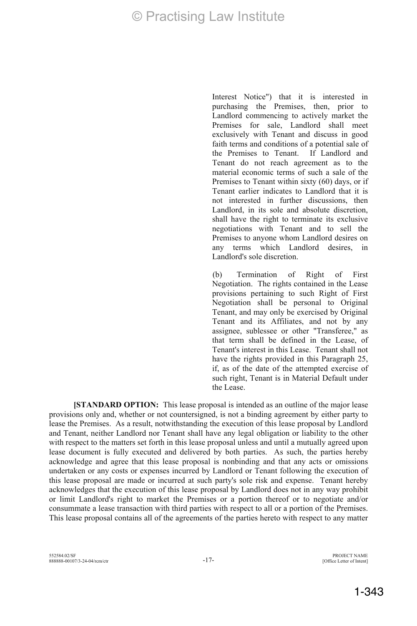Interest Notice") that it is interested in purchasing the Premises, then, prior to Landlord commencing to actively market the Premises for sale, Landlord shall meet exclusively with Tenant and discuss in good faith terms and conditions of a potential sale of<br>the Premises to Tenant If Landlord and the Premises to Tenant Tenant do not reach agreement as to the material economic terms of such a sale of the Premises to Tenant within sixty (60) days, or if Tenant earlier indicates to Landlord that it is not interested in further discussions, then Landlord, in its sole and absolute discretion. shall have the right to terminate its exclusive negotiations with Tenant and to sell the Premises to anyone whom Landlord desires on any terms which Landlord desires, in Landlord's sole discretion.

(b) Termination of Right of First Negotiation. The rights contained in the Lease provisions pertaining to such Right of First Negotiation shall be personal to Original Tenant, and may only be exercised by Original Tenant and its Affiliates, and not by any assignee, sublessee or other "Transferee," as that term shall be defined in the Lease, of Tenant's interest in this Lease. Tenant shall not have the rights provided in this Paragraph 25. if, as of the date of the attempted exercise of such right, Tenant is in Material Default under the Lease.

**[STANDARD OPTION:** This lease proposal is intended as an outline of the major lease provisions only and, whether or not countersigned, is not a binding agreement by either party to lease the Premises. As a result, notwithstanding the execution of this lease proposal by Landlord and Tenant, neither Landlord nor Tenant shall have any legal obligation or liability to the other with respect to the matters set forth in this lease proposal unless and until a mutually agreed upon lease document is fully executed and delivered by both parties. As such, the parties hereby acknowledge and agree that this lease proposal is nonbinding and that any acts or omissions undertaken or any costs or expenses incurred by Landlord or Tenant following the execution of this lease proposal are made or incurred at such party's sole risk and expense. Tenant hereby acknowledges that the execution of this lease proposal by Landlord does not in any way prohibit or limit Landlord's right to market the Premises or a portion thereof or to negotiate and/or consummate a lease transaction with third parties with respect to all or a portion of the Premises. This lease proposal contains all of the agreements of the parties hereto with respect to any matter

[Office Letter of Intent]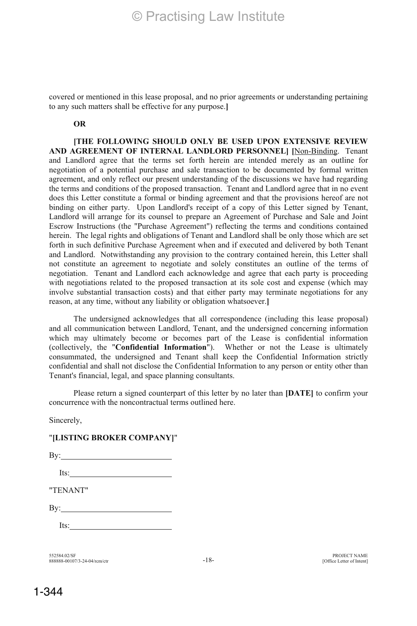covered or mentioned in this lease proposal, and no prior agreements or understanding pertaining to any such matters shall be effective for any purpose.**]**

#### **OR**

**[THE FOLLOWING SHOULD ONLY BE USED UPON EXTENSIVE REVIEW AND AGREEMENT OF INTERNAL LANDLORD PERSONNEL] [**Non-Binding. Tenant and Landlord agree that the terms set forth herein are intended merely as an outline for negotiation of a potential purchase and sale transaction to be documented by formal written agreement, and only reflect our present understanding of the discussions we have had regarding the terms and conditions of the proposed transaction. Tenant and Landlord agree that in no event does this Letter constitute a formal or binding agreement and that the provisions hereof are not binding on either party. Upon Landlord's receipt of a copy of this Letter signed by Tenant, Landlord will arrange for its counsel to prepare an Agreement of Purchase and Sale and Joint Escrow Instructions (the "Purchase Agreement") reflecting the terms and conditions contained herein. The legal rights and obligations of Tenant and Landlord shall be only those which are set forth in such definitive Purchase Agreement when and if executed and delivered by both Tenant and Landlord. Notwithstanding any provision to the contrary contained herein, this Letter shall not constitute an agreement to negotiate and solely constitutes an outline of the terms of negotiation. Tenant and Landlord each acknowledge and agree that each party is proceeding with negotiations related to the proposed transaction at its sole cost and expense (which may involve substantial transaction costs) and that either party may terminate negotiations for any reason, at any time, without any liability or obligation whatsoever.**]**

The undersigned acknowledges that all correspondence (including this lease proposal) and all communication between Landlord, Tenant, and the undersigned concerning information which may ultimately become or becomes part of the Lease is confidential information (collectively, the "**Confidential Information**"). Whether or not the Lease is ultimately consummated, the undersigned and Tenant shall keep the Confidential Information strictly confidential and shall not disclose the Confidential Information to any person or entity other than Tenant's financial, legal, and space planning consultants.

Please return a signed counterpart of this letter by no later than **[DATE]** to confirm your concurrence with the noncontractual terms outlined here.

Sincerely,

### "**[LISTING BROKER COMPANY]**"

By:

Its:

"TENANT"

By:

Its:

552584.02/SF 888888-00107/3-24-04/rcm/ctr -18- PROJECT NAME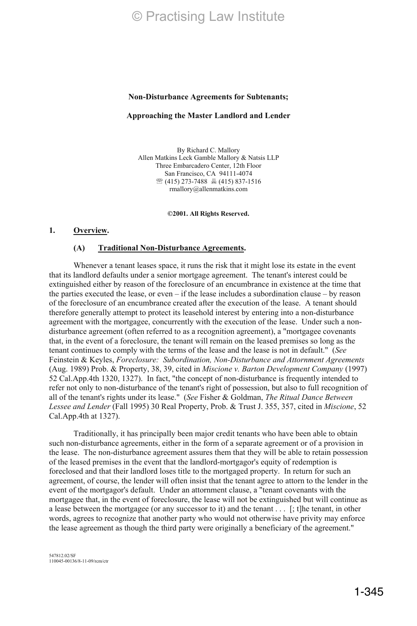#### **Non-Disturbance Agreements for Subtenants;**

#### **Approaching the Master Landlord and Lender**

By Richard C. Mallory Allen Matkins Leck Gamble Mallory & Natsis LLP Three Embarcadero Center, 12th Floor San Francisco, CA 94111-4074 (415) 273-7488 (415) 837-1516 rmallory@allenmatkins.com

**©2001. All Rights Reserved.** 

#### **1. Overview.**

#### **(A) Traditional Non-Disturbance Agreements.**

Whenever a tenant leases space, it runs the risk that it might lose its estate in the event that its landlord defaults under a senior mortgage agreement. The tenant's interest could be extinguished either by reason of the foreclosure of an encumbrance in existence at the time that the parties executed the lease, or even – if the lease includes a subordination clause – by reason of the foreclosure of an encumbrance created after the execution of the lease. A tenant should therefore generally attempt to protect its leasehold interest by entering into a non-disturbance agreement with the mortgagee, concurrently with the execution of the lease. Under such a nondisturbance agreement (often referred to as a recognition agreement), a "mortgagee covenants that, in the event of a foreclosure, the tenant will remain on the leased premises so long as the tenant continues to comply with the terms of the lease and the lease is not in default." (*See* Feinstein & Keyles, *Foreclosure: Subordination, Non-Disturbance and Attornment Agreements* (Aug. 1989) Prob. & Property, 38, 39, cited in *Miscione v. Barton Development Company* (1997) 52 Cal.App.4th 1320, 1327). In fact, "the concept of non-disturbance is frequently intended to refer not only to non-disturbance of the tenant's right of possession, but also to full recognition of all of the tenant's rights under its lease." (*See* Fisher & Goldman, *The Ritual Dance Between Lessee and Lender* (Fall 1995) 30 Real Property, Prob. & Trust J. 355, 357, cited in *Miscione*, 52 Cal.App.4th at 1327).

Traditionally, it has principally been major credit tenants who have been able to obtain such non-disturbance agreements, either in the form of a separate agreement or of a provision in the lease. The non-disturbance agreement assures them that they will be able to retain possession of the leased premises in the event that the landlord-mortgagor's equity of redemption is foreclosed and that their landlord loses title to the mortgaged property. In return for such an agreement, of course, the lender will often insist that the tenant agree to attorn to the lender in the event of the mortgagor's default. Under an attornment clause, a "tenant covenants with the mortgagee that, in the event of foreclosure, the lease will not be extinguished but will continue as a lease between the mortgagee (or any successor to it) and the tenant . . . [; t]he tenant, in other words, agrees to recognize that another party who would not otherwise have privity may enforce the lease agreement as though the third party were originally a beneficiary of the agreement."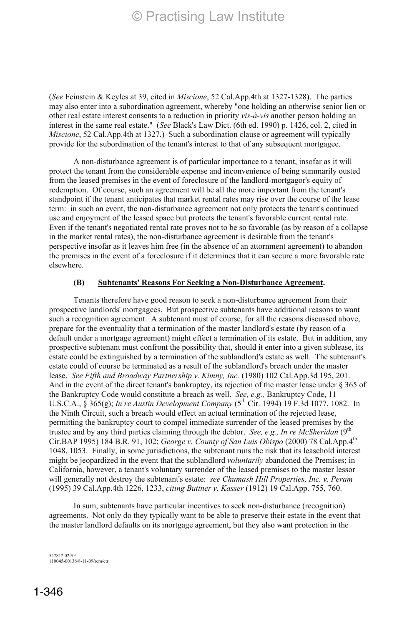(*See* Feinstein & Keyles at 39, cited in *Miscione*, 52 Cal.App.4th at 1327-1328). The parties may also enter into a subordination agreement, whereby "one holding an otherwise senior lien or other real estate interest consents to a reduction in priority *vis-à-vis* another person holding an interest in the same real estate." (*See* Black's Law Dict. (6th ed. 1990) p. 1426, col. 2, cited in *Miscione*, 52 Cal.App.4th at 1327.) Such a subordination clause or agreement will typically provide for the subordination of the tenant's interest to that of any subsequent mortgagee.

A non-disturbance agreement is of particular importance to a tenant, insofar as it will protect the tenant from the considerable expense and inconvenience of being summarily ousted from the leased premises in the event of foreclosure of the landlord-mortgagor's equity of redemption. Of course, such an agreement will be all the more important from the tenant's standpoint if the tenant anticipates that market rental rates may rise over the course of the lease term: in such an event, the non-disturbance agreement not only protects the tenant's continued use and enjoyment of the leased space but protects the tenant's favorable current rental rate. Even if the tenant's negotiated rental rate proves not to be so favorable (as by reason of a collapse in the market rental rates), the non-disturbance agreement is desirable from the tenant's perspective insofar as it leaves him free (in the absence of an attornment agreement) to abandon the premises in the event of a foreclosure if it determines that it can secure a more favorable rate elsewhere.

### **(B) Subtenants' Reasons For Seeking a Non-Disturbance Agreement.**

Tenants therefore have good reason to seek a non-disturbance agreement from their prospective landlords' mortgagees. But prospective subtenants have additional reasons to want such a recognition agreement. A subtenant must of course, for all the reasons discussed above, prepare for the eventuality that a termination of the master landlord's estate (by reason of a default under a mortgage agreement) might effect a termination of its estate. But in addition, any prospective subtenant must confront the possibility that, should it enter into a given sublease, its estate could be extinguished by a termination of the sublandlord's estate as well. The subtenant's estate could of course be terminated as a result of the sublandlord's breach under the master lease. *See Fifth and Broadway Partnership v. Kimny, Inc.* (1980) 102 Cal.App.3d 195, 201. And in the event of the direct tenant's bankruptcy, its rejection of the master lease under § 365 of the Bankruptcy Code would constitute a breach as well. *See, e.g.,* Bankruptcy Code, 11 U.S.C.A., § 365(g); *In re Austin Development Company* (5th Cir. 1994) 19 F.3d 1077, 1082. In the Ninth Circuit, such a breach would effect an actual termination of the rejected lease, permitting the bankruptcy court to compel immediate surrender of the leased premises by the trustee and by any third parties claiming through the debtor. *See, e.g., In re McSheridan* (9<sup>th</sup>) Cir.BAP 1995) 184 B.R. 91, 102; *George v. County of San Luis Obispo* (2000) 78 Cal.App.4th 1048, 1053. Finally, in some jurisdictions, the subtenant runs the risk that its leasehold interest might be jeopardized in the event that the sublandlord *voluntarily* abandoned the Premises; in California, however, a tenant's voluntary surrender of the leased premises to the master lessor will generally not destroy the subtenant's estate: *see Chumash Hill Properties, Inc. v. Peram* (1995) 39 Cal.App.4th 1226, 1233, *citing Buttner v. Kasser* (1912) 19 Cal.App. 755, 760.

In sum, subtenants have particular incentives to seek non-disturbance (recognition) agreements. Not only do they typically want to be able to preserve their estate in the event that the master landlord defaults on its mortgage agreement, but they also want protection in the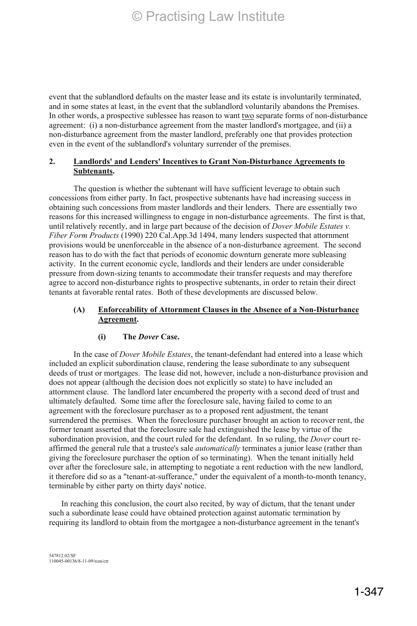event that the sublandlord defaults on the master lease and its estate is involuntarily terminated, and in some states at least, in the event that the sublandlord voluntarily abandons the Premises. In other words, a prospective sublessee has reason to want two separate forms of non-disturbance agreement: (i) a non-disturbance agreement from the master landlord's mortgagee, and (ii) a non-disturbance agreement from the master landlord, preferably one that provides protection even in the event of the sublandlord's voluntary surrender of the premises.

### **2. Landlords' and Lenders' Incentives to Grant Non-Disturbance Agreements to Subtenants.**

The question is whether the subtenant will have sufficient leverage to obtain such concessions from either party. In fact, prospective subtenants have had increasing success in obtaining such concessions from master landlords and their lenders. There are essentially two reasons for this increased willingness to engage in non-disturbance agreements. The first is that, until relatively recently, and in large part because of the decision of *Dover Mobile Estates v. Fiber Form Products* (1990) 220 Cal.App.3d 1494, many lenders suspected that attornment provisions would be unenforceable in the absence of a non-disturbance agreement. The second reason has to do with the fact that periods of economic downturn generate more subleasing activity. In the current economic cycle, landlords and their lenders are under considerable pressure from down-sizing tenants to accommodate their transfer requests and may therefore agree to accord non-disturbance rights to prospective subtenants, in order to retain their direct tenants at favorable rental rates. Both of these developments are discussed below.

### **(A) Enforceability of Attornment Clauses in the Absence of a Non-Disturbance Agreement.**

### **(i) The** *Dover* **Case.**

In the case of *Dover Mobile Estates*, the tenant-defendant had entered into a lease which included an explicit subordination clause, rendering the lease subordinate to any subsequent deeds of trust or mortgages. The lease did not, however, include a non-disturbance provision and does not appear (although the decision does not explicitly so state) to have included an attornment clause. The landlord later encumbered the property with a second deed of trust and ultimately defaulted. Some time after the foreclosure sale, having failed to come to an agreement with the foreclosure purchaser as to a proposed rent adjustment, the tenant surrendered the premises. When the foreclosure purchaser brought an action to recover rent, the former tenant asserted that the foreclosure sale had extinguished the lease by virtue of the subordination provision, and the court ruled for the defendant. In so ruling, the *Dover* court reaffirmed the general rule that a trustee's sale *automatically* terminates a junior lease (rather than giving the foreclosure purchaser the option of so terminating). When the tenant initially held over after the foreclosure sale, in attempting to negotiate a rent reduction with the new landlord, it therefore did so as a "tenant-at-sufferance," under the equivalent of a month-to-month tenancy, terminable by either party on thirty days' notice.

In reaching this conclusion, the court also recited, by way of dictum, that the tenant under such a subordinate lease could have obtained protection against automatic termination by requiring its landlord to obtain from the mortgagee a non-disturbance agreement in the tenant's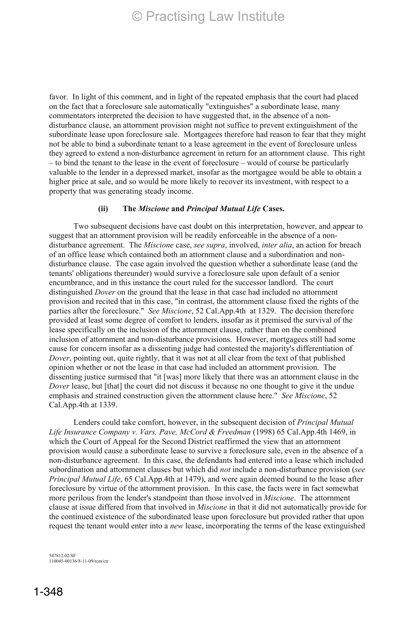favor. In light of this comment, and in light of the repeated emphasis that the court had placed on the fact that a foreclosure sale automatically "extinguishes" a subordinate lease, many commentators interpreted the decision to have suggested that, in the absence of a nondisturbance clause, an attornment provision might not suffice to prevent extinguishment of the subordinate lease upon foreclosure sale. Mortgagees therefore had reason to fear that they might not be able to bind a subordinate tenant to a lease agreement in the event of foreclosure unless they agreed to extend a non-disturbance agreement in return for an attornment clause. This right – to bind the tenant to the lease in the event of foreclosure – would of course be particularly valuable to the lender in a depressed market, insofar as the mortgagee would be able to obtain a higher price at sale, and so would be more likely to recover its investment, with respect to a property that was generating steady income.

#### **(ii) The** *Miscione* **and** *Principal Mutual Life* **Cases.**

Two subsequent decisions have cast doubt on this interpretation, however, and appear to suggest that an attornment provision will be readily enforceable in the absence of a nondisturbance agreement. The *Miscione* case, *see supra*, involved, *inter alia*, an action for breach of an office lease which contained both an attornment clause and a subordination and nondisturbance clause. The case again involved the question whether a subordinate lease (and the tenants' obligations thereunder) would survive a foreclosure sale upon default of a senior encumbrance, and in this instance the court ruled for the successor landlord. The court distinguished *Dover* on the ground that the lease in that case had included no attornment provision and recited that in this case, "in contrast, the attornment clause fixed the rights of the parties after the foreclosure." *See Miscione*, 52 Cal.App.4th at 1329. The decision therefore provided at least some degree of comfort to lenders, insofar as it premised the survival of the lease specifically on the inclusion of the attornment clause, rather than on the combined inclusion of attornment and non-disturbance provisions. However, mortgagees still had some cause for concern insofar as a dissenting judge had contested the majority's differentiation of *Dover*, pointing out, quite rightly, that it was not at all clear from the text of that published opinion whether or not the lease in that case had included an attornment provision. The dissenting justice surmised that "it [was] more likely that there was an attornment clause in the *Dover* lease, but [that] the court did not discuss it because no one thought to give it the undue emphasis and strained construction given the attornment clause here." *See Miscione*, 52 Cal.App.4th at 1339.

Lenders could take comfort, however, in the subsequent decision of *Principal Mutual Life Insurance Company v. Vars, Pave, McCord & Freedman* (1998) 65 Cal.App.4th 1469, in which the Court of Appeal for the Second District reaffirmed the view that an attornment provision would cause a subordinate lease to survive a foreclosure sale, even in the absence of a non-disturbance agreement. In this case, the defendants had entered into a lease which included subordination and attornment clauses but which did *not* include a non-disturbance provision (*see Principal Mutual Life*, 65 Cal.App.4th at 1479), and were again deemed bound to the lease after foreclosure by virtue of the attornment provision. In this case, the facts were in fact somewhat more perilous from the lender's standpoint than those involved in *Miscione*. The attornment clause at issue differed from that involved in *Miscione* in that it did not automatically provide for the continued existence of the subordinated lease upon foreclosure but provided rather that upon request the tenant would enter into a *new* lease, incorporating the terms of the lease extinguished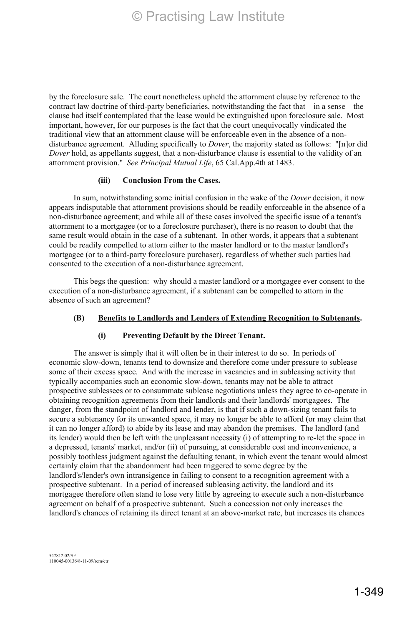by the foreclosure sale. The court nonetheless upheld the attornment clause by reference to the contract law doctrine of third-party beneficiaries, notwithstanding the fact that – in a sense – the clause had itself contemplated that the lease would be extinguished upon foreclosure sale. Most important, however, for our purposes is the fact that the court unequivocally vindicated the traditional view that an attornment clause will be enforceable even in the absence of a nondisturbance agreement. Alluding specifically to *Dover*, the majority stated as follows: "[n]or did *Dover* hold, as appellants suggest, that a non-disturbance clause is essential to the validity of an attornment provision." *See Principal Mutual Life*, 65 Cal.App.4th at 1483.

#### **(iii) Conclusion From the Cases.**

In sum, notwithstanding some initial confusion in the wake of the *Dover* decision, it now appears indisputable that attornment provisions should be readily enforceable in the absence of a non-disturbance agreement; and while all of these cases involved the specific issue of a tenant's attornment to a mortgagee (or to a foreclosure purchaser), there is no reason to doubt that the same result would obtain in the case of a subtenant. In other words, it appears that a subtenant could be readily compelled to attorn either to the master landlord or to the master landlord's mortgagee (or to a third-party foreclosure purchaser), regardless of whether such parties had consented to the execution of a non-disturbance agreement.

This begs the question: why should a master landlord or a mortgagee ever consent to the execution of a non-disturbance agreement, if a subtenant can be compelled to attorn in the absence of such an agreement?

### **(B) Benefits to Landlords and Lenders of Extending Recognition to Subtenants.**

### **(i) Preventing Default by the Direct Tenant.**

The answer is simply that it will often be in their interest to do so. In periods of economic slow-down, tenants tend to downsize and therefore come under pressure to sublease some of their excess space. And with the increase in vacancies and in subleasing activity that typically accompanies such an economic slow-down, tenants may not be able to attract prospective sublessees or to consummate sublease negotiations unless they agree to co-operate in obtaining recognition agreements from their landlords and their landlords' mortgagees. The danger, from the standpoint of landlord and lender, is that if such a down-sizing tenant fails to secure a subtenancy for its unwanted space, it may no longer be able to afford (or may claim that it can no longer afford) to abide by its lease and may abandon the premises. The landlord (and its lender) would then be left with the unpleasant necessity (i) of attempting to re-let the space in a depressed, tenants' market, and/or (ii) of pursuing, at considerable cost and inconvenience, a possibly toothless judgment against the defaulting tenant, in which event the tenant would almost certainly claim that the abandonment had been triggered to some degree by the landlord's/lender's own intransigence in failing to consent to a recognition agreement with a prospective subtenant. In a period of increased subleasing activity, the landlord and its mortgagee therefore often stand to lose very little by agreeing to execute such a non-disturbance agreement on behalf of a prospective subtenant. Such a concession not only increases the landlord's chances of retaining its direct tenant at an above-market rate, but increases its chances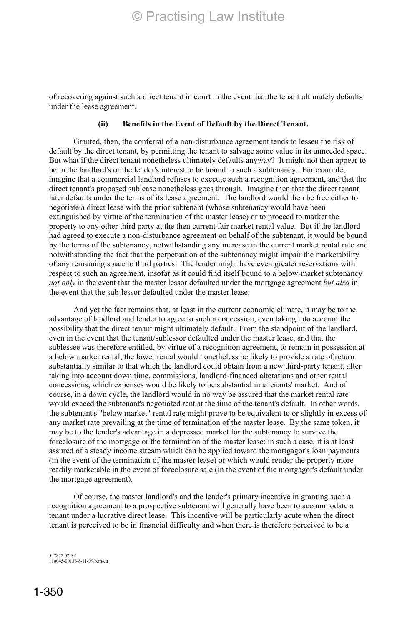of recovering against such a direct tenant in court in the event that the tenant ultimately defaults under the lease agreement.

#### **(ii) Benefits in the Event of Default by the Direct Tenant.**

Granted, then, the conferral of a non-disturbance agreement tends to lessen the risk of default by the direct tenant, by permitting the tenant to salvage some value in its unneeded space. But what if the direct tenant nonetheless ultimately defaults anyway? It might not then appear to be in the landlord's or the lender's interest to be bound to such a subtenancy. For example, imagine that a commercial landlord refuses to execute such a recognition agreement, and that the direct tenant's proposed sublease nonetheless goes through. Imagine then that the direct tenant later defaults under the terms of its lease agreement. The landlord would then be free either to negotiate a direct lease with the prior subtenant (whose subtenancy would have been extinguished by virtue of the termination of the master lease) or to proceed to market the property to any other third party at the then current fair market rental value. But if the landlord had agreed to execute a non-disturbance agreement on behalf of the subtenant, it would be bound by the terms of the subtenancy, notwithstanding any increase in the current market rental rate and notwithstanding the fact that the perpetuation of the subtenancy might impair the marketability of any remaining space to third parties. The lender might have even greater reservations with respect to such an agreement, insofar as it could find itself bound to a below-market subtenancy *not only* in the event that the master lessor defaulted under the mortgage agreement *but also* in the event that the sub-lessor defaulted under the master lease.

And yet the fact remains that, at least in the current economic climate, it may be to the advantage of landlord and lender to agree to such a concession, even taking into account the possibility that the direct tenant might ultimately default. From the standpoint of the landlord, even in the event that the tenant/sublessor defaulted under the master lease, and that the sublessee was therefore entitled, by virtue of a recognition agreement, to remain in possession at a below market rental, the lower rental would nonetheless be likely to provide a rate of return substantially similar to that which the landlord could obtain from a new third-party tenant, after taking into account down time, commissions, landlord-financed alterations and other rental concessions, which expenses would be likely to be substantial in a tenants' market. And of course, in a down cycle, the landlord would in no way be assured that the market rental rate would exceed the subtenant's negotiated rent at the time of the tenant's default. In other words, the subtenant's "below market" rental rate might prove to be equivalent to or slightly in excess of any market rate prevailing at the time of termination of the master lease. By the same token, it may be to the lender's advantage in a depressed market for the subtenancy to survive the foreclosure of the mortgage or the termination of the master lease: in such a case, it is at least assured of a steady income stream which can be applied toward the mortgagor's loan payments (in the event of the termination of the master lease) or which would render the property more readily marketable in the event of foreclosure sale (in the event of the mortgagor's default under the mortgage agreement).

Of course, the master landlord's and the lender's primary incentive in granting such a recognition agreement to a prospective subtenant will generally have been to accommodate a tenant under a lucrative direct lease. This incentive will be particularly acute when the direct tenant is perceived to be in financial difficulty and when there is therefore perceived to be a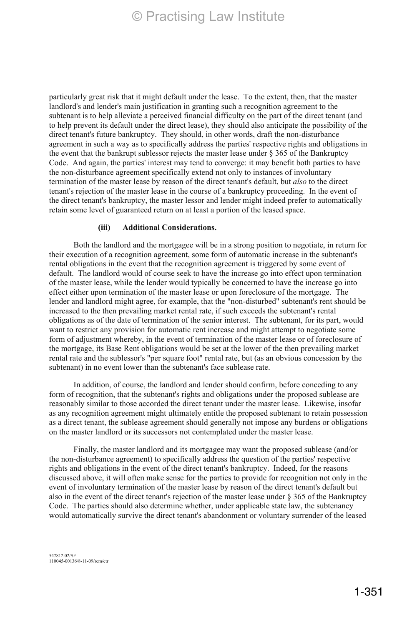particularly great risk that it might default under the lease. To the extent, then, that the master landlord's and lender's main justification in granting such a recognition agreement to the subtenant is to help alleviate a perceived financial difficulty on the part of the direct tenant (and to help prevent its default under the direct lease), they should also anticipate the possibility of the direct tenant's future bankruptcy. They should, in other words, draft the non-disturbance agreement in such a way as to specifically address the parties' respective rights and obligations in the event that the bankrupt sublessor rejects the master lease under § 365 of the Bankruptcy Code. And again, the parties' interest may tend to converge: it may benefit both parties to have the non-disturbance agreement specifically extend not only to instances of involuntary termination of the master lease by reason of the direct tenant's default, but *also* to the direct tenant's rejection of the master lease in the course of a bankruptcy proceeding. In the event of the direct tenant's bankruptcy, the master lessor and lender might indeed prefer to automatically retain some level of guaranteed return on at least a portion of the leased space.

#### **(iii) Additional Considerations.**

Both the landlord and the mortgagee will be in a strong position to negotiate, in return for their execution of a recognition agreement, some form of automatic increase in the subtenant's rental obligations in the event that the recognition agreement is triggered by some event of default. The landlord would of course seek to have the increase go into effect upon termination of the master lease, while the lender would typically be concerned to have the increase go into effect either upon termination of the master lease or upon foreclosure of the mortgage. The lender and landlord might agree, for example, that the "non-disturbed" subtenant's rent should be increased to the then prevailing market rental rate, if such exceeds the subtenant's rental obligations as of the date of termination of the senior interest. The subtenant, for its part, would want to restrict any provision for automatic rent increase and might attempt to negotiate some form of adjustment whereby, in the event of termination of the master lease or of foreclosure of the mortgage, its Base Rent obligations would be set at the lower of the then prevailing market rental rate and the sublessor's "per square foot" rental rate, but (as an obvious concession by the subtenant) in no event lower than the subtenant's face sublease rate.

In addition, of course, the landlord and lender should confirm, before conceding to any form of recognition, that the subtenant's rights and obligations under the proposed sublease are reasonably similar to those accorded the direct tenant under the master lease. Likewise, insofar as any recognition agreement might ultimately entitle the proposed subtenant to retain possession as a direct tenant, the sublease agreement should generally not impose any burdens or obligations on the master landlord or its successors not contemplated under the master lease.

Finally, the master landlord and its mortgagee may want the proposed sublease (and/or the non-disturbance agreement) to specifically address the question of the parties' respective rights and obligations in the event of the direct tenant's bankruptcy. Indeed, for the reasons discussed above, it will often make sense for the parties to provide for recognition not only in the event of involuntary termination of the master lease by reason of the direct tenant's default but also in the event of the direct tenant's rejection of the master lease under § 365 of the Bankruptcy Code. The parties should also determine whether, under applicable state law, the subtenancy would automatically survive the direct tenant's abandonment or voluntary surrender of the leased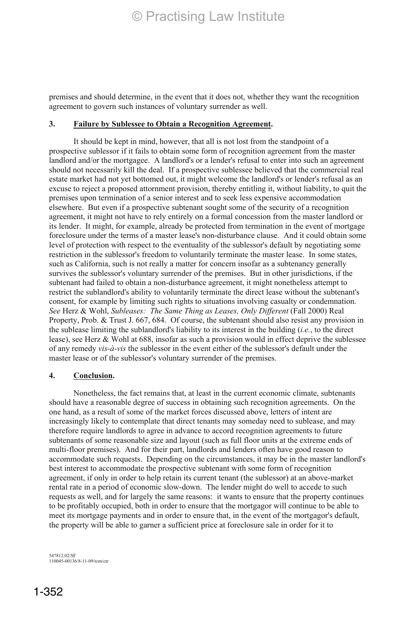premises and should determine, in the event that it does not, whether they want the recognition agreement to govern such instances of voluntary surrender as well.

#### **3. Failure by Sublessee to Obtain a Recognition Agreement.**

It should be kept in mind, however, that all is not lost from the standpoint of a prospective sublessor if it fails to obtain some form of recognition agreement from the master landlord and/or the mortgagee. A landlord's or a lender's refusal to enter into such an agreement should not necessarily kill the deal. If a prospective sublessee believed that the commercial real estate market had not yet bottomed out, it might welcome the landlord's or lender's refusal as an excuse to reject a proposed attornment provision, thereby entitling it, without liability, to quit the premises upon termination of a senior interest and to seek less expensive accommodation elsewhere. But even if a prospective subtenant sought some of the security of a recognition agreement, it might not have to rely entirely on a formal concession from the master landlord or its lender. It might, for example, already be protected from termination in the event of mortgage foreclosure under the terms of a master lease's non-disturbance clause. And it could obtain some level of protection with respect to the eventuality of the sublessor's default by negotiating some restriction in the sublessor's freedom to voluntarily terminate the master lease. In some states, such as California, such is not really a matter for concern insofar as a subtenancy generally survives the sublessor's voluntary surrender of the premises. But in other jurisdictions, if the subtenant had failed to obtain a non-disturbance agreement, it might nonetheless attempt to restrict the sublandlord's ability to voluntarily terminate the direct lease without the subtenant's consent, for example by limiting such rights to situations involving casualty or condemnation. *See* Herz & Wohl, *Subleases: The Same Thing as Leases, Only Different* (Fall 2000) Real Property, Prob. & Trust J. 667, 684. Of course, the subtenant should also resist any provision in the sublease limiting the sublandlord's liability to its interest in the building (*i.e.*, to the direct lease), see Herz & Wohl at 688, insofar as such a provision would in effect deprive the sublessee of any remedy *vis-à-vis* the sublessor in the event either of the sublessor's default under the master lease or of the sublessor's voluntary surrender of the premises.

#### **4. Conclusion.**

Nonetheless, the fact remains that, at least in the current economic climate, subtenants should have a reasonable degree of success in obtaining such recognition agreements. On the one hand, as a result of some of the market forces discussed above, letters of intent are increasingly likely to contemplate that direct tenants may someday need to sublease, and may therefore require landlords to agree in advance to accord recognition agreements to future subtenants of some reasonable size and layout (such as full floor units at the extreme ends of multi-floor premises). And for their part, landlords and lenders often have good reason to accommodate such requests. Depending on the circumstances, it may be in the master landlord's best interest to accommodate the prospective subtenant with some form of recognition agreement, if only in order to help retain its current tenant (the sublessor) at an above-market rental rate in a period of economic slow-down. The lender might do well to accede to such requests as well, and for largely the same reasons: it wants to ensure that the property continues to be profitably occupied, both in order to ensure that the mortgagor will continue to be able to meet its mortgage payments and in order to ensure that, in the event of the mortgagor's default, the property will be able to garner a sufficient price at foreclosure sale in order for it to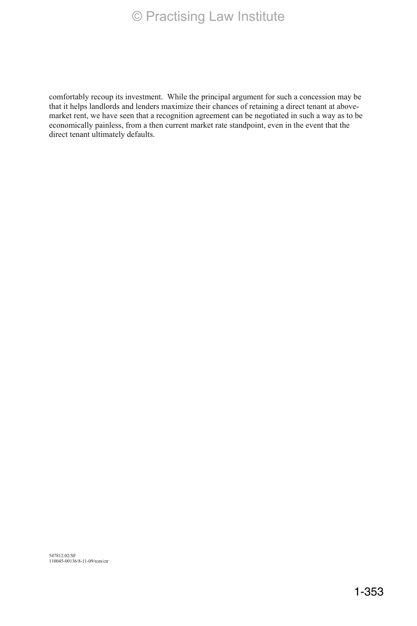comfortably recoup its investment. While the principal argument for such a concession may be that it helps landlords and lenders maximize their chances of retaining a direct tenant at abovemarket rent, we have seen that a recognition agreement can be negotiated in such a way as to be economically painless, from a then current market rate standpoint, even in the event that the direct tenant ultimately defaults.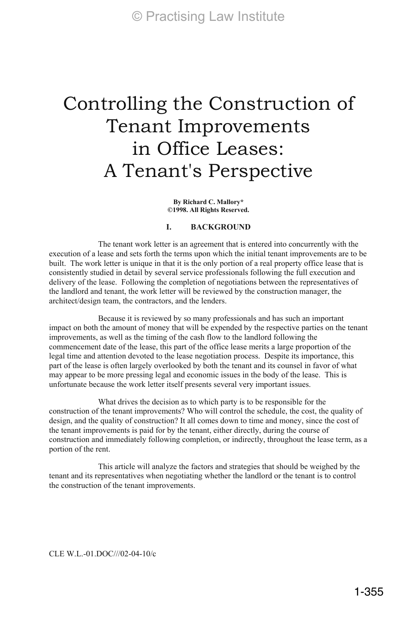# Controlling the Construction of Tenant Improvements in Office Leases: A Tenant's Perspective

**By Richard C. Mallory\* ©1998. All Rights Reserved.** 

#### **I. BACKGROUND**

The tenant work letter is an agreement that is entered into concurrently with the execution of a lease and sets forth the terms upon which the initial tenant improvements are to be built. The work letter is unique in that it is the only portion of a real property office lease that is consistently studied in detail by several service professionals following the full execution and delivery of the lease. Following the completion of negotiations between the representatives of the landlord and tenant, the work letter will be reviewed by the construction manager, the architect/design team, the contractors, and the lenders.

Because it is reviewed by so many professionals and has such an important impact on both the amount of money that will be expended by the respective parties on the tenant improvements, as well as the timing of the cash flow to the landlord following the commencement date of the lease, this part of the office lease merits a large proportion of the legal time and attention devoted to the lease negotiation process. Despite its importance, this part of the lease is often largely overlooked by both the tenant and its counsel in favor of what may appear to be more pressing legal and economic issues in the body of the lease. This is unfortunate because the work letter itself presents several very important issues.

What drives the decision as to which party is to be responsible for the construction of the tenant improvements? Who will control the schedule, the cost, the quality of design, and the quality of construction? It all comes down to time and money, since the cost of the tenant improvements is paid for by the tenant, either directly, during the course of construction and immediately following completion, or indirectly, throughout the lease term, as a portion of the rent.

This article will analyze the factors and strategies that should be weighed by the tenant and its representatives when negotiating whether the landlord or the tenant is to control the construction of the tenant improvements.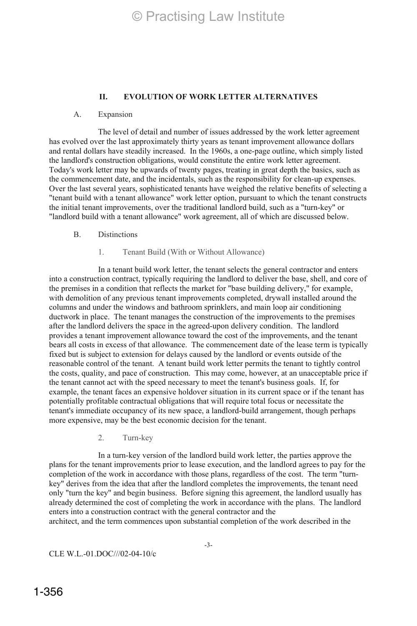### **II. EVOLUTION OF WORK LETTER ALTERNATIVES**

#### A. Expansion

The level of detail and number of issues addressed by the work letter agreement has evolved over the last approximately thirty years as tenant improvement allowance dollars and rental dollars have steadily increased. In the 1960s, a one-page outline, which simply listed the landlord's construction obligations, would constitute the entire work letter agreement. Today's work letter may be upwards of twenty pages, treating in great depth the basics, such as the commencement date, and the incidentals, such as the responsibility for clean-up expenses. Over the last several years, sophisticated tenants have weighed the relative benefits of selecting a "tenant build with a tenant allowance" work letter option, pursuant to which the tenant constructs the initial tenant improvements, over the traditional landlord build, such as a "turn-key" or "landlord build with a tenant allowance" work agreement, all of which are discussed below.

#### B. Distinctions

#### 1. Tenant Build (With or Without Allowance)

In a tenant build work letter, the tenant selects the general contractor and enters into a construction contract, typically requiring the landlord to deliver the base, shell, and core of the premises in a condition that reflects the market for "base building delivery," for example, with demolition of any previous tenant improvements completed, drywall installed around the columns and under the windows and bathroom sprinklers, and main loop air conditioning ductwork in place. The tenant manages the construction of the improvements to the premises after the landlord delivers the space in the agreed-upon delivery condition. The landlord provides a tenant improvement allowance toward the cost of the improvements, and the tenant bears all costs in excess of that allowance. The commencement date of the lease term is typically fixed but is subject to extension for delays caused by the landlord or events outside of the reasonable control of the tenant. A tenant build work letter permits the tenant to tightly control the costs, quality, and pace of construction. This may come, however, at an unacceptable price if the tenant cannot act with the speed necessary to meet the tenant's business goals. If, for example, the tenant faces an expensive holdover situation in its current space or if the tenant has potentially profitable contractual obligations that will require total focus or necessitate the tenant's immediate occupancy of its new space, a landlord-build arrangement, though perhaps more expensive, may be the best economic decision for the tenant.

2. Turn-key

In a turn-key version of the landlord build work letter, the parties approve the plans for the tenant improvements prior to lease execution, and the landlord agrees to pay for the completion of the work in accordance with those plans, regardless of the cost. The term "turnkey" derives from the idea that after the landlord completes the improvements, the tenant need only "turn the key" and begin business. Before signing this agreement, the landlord usually has already determined the cost of completing the work in accordance with the plans. The landlord enters into a construction contract with the general contractor and the architect, and the term commences upon substantial completion of the work described in the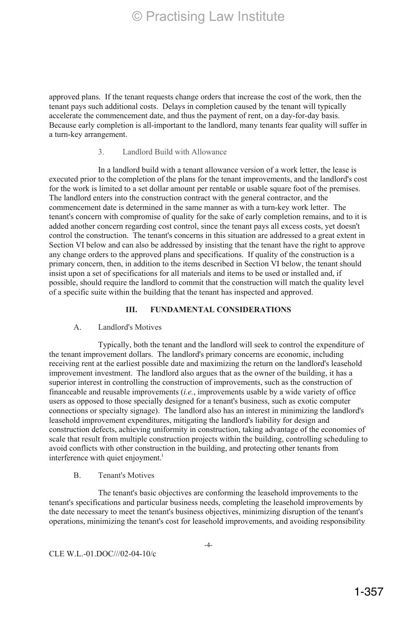approved plans. If the tenant requests change orders that increase the cost of the work, then the tenant pays such additional costs. Delays in completion caused by the tenant will typically accelerate the commencement date, and thus the payment of rent, on a day-for-day basis. Because early completion is all-important to the landlord, many tenants fear quality will suffer in a turn-key arrangement.

#### 3. Landlord Build with Allowance

In a landlord build with a tenant allowance version of a work letter, the lease is executed prior to the completion of the plans for the tenant improvements, and the landlord's cost for the work is limited to a set dollar amount per rentable or usable square foot of the premises. The landlord enters into the construction contract with the general contractor, and the commencement date is determined in the same manner as with a turn-key work letter. The tenant's concern with compromise of quality for the sake of early completion remains, and to it is added another concern regarding cost control, since the tenant pays all excess costs, yet doesn't control the construction. The tenant's concerns in this situation are addressed to a great extent in Section VI below and can also be addressed by insisting that the tenant have the right to approve any change orders to the approved plans and specifications. If quality of the construction is a primary concern, then, in addition to the items described in Section VI below, the tenant should insist upon a set of specifications for all materials and items to be used or installed and, if possible, should require the landlord to commit that the construction will match the quality level of a specific suite within the building that the tenant has inspected and approved.

### **III. FUNDAMENTAL CONSIDERATIONS**

#### A. Landlord's Motives

Typically, both the tenant and the landlord will seek to control the expenditure of the tenant improvement dollars. The landlord's primary concerns are economic, including receiving rent at the earliest possible date and maximizing the return on the landlord's leasehold improvement investment. The landlord also argues that as the owner of the building, it has a superior interest in controlling the construction of improvements, such as the construction of financeable and reusable improvements (*i.e.*, improvements usable by a wide variety of office users as opposed to those specially designed for a tenant's business, such as exotic computer connections or specialty signage). The landlord also has an interest in minimizing the landlord's leasehold improvement expenditures, mitigating the landlord's liability for design and construction defects, achieving uniformity in construction, taking advantage of the economies of scale that result from multiple construction projects within the building, controlling scheduling to avoid conflicts with other construction in the building, and protecting other tenants from interference with quiet enjoyment.<sup>1</sup>

#### B. Tenant's Motives

The tenant's basic objectives are conforming the leasehold improvements to the tenant's specifications and particular business needs, completing the leasehold improvements by the date necessary to meet the tenant's business objectives, minimizing disruption of the tenant's operations, minimizing the tenant's cost for leasehold improvements, and avoiding responsibility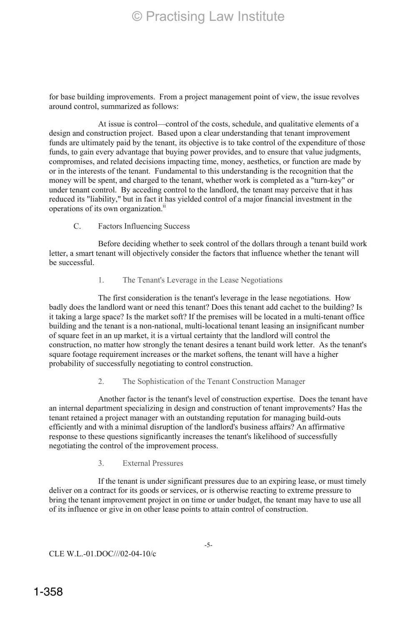for base building improvements. From a project management point of view, the issue revolves around control, summarized as follows:

At issue is control—control of the costs, schedule, and qualitative elements of a design and construction project. Based upon a clear understanding that tenant improvement funds are ultimately paid by the tenant, its objective is to take control of the expenditure of those funds, to gain every advantage that buying power provides, and to ensure that value judgments, compromises, and related decisions impacting time, money, aesthetics, or function are made by or in the interests of the tenant. Fundamental to this understanding is the recognition that the money will be spent, and charged to the tenant, whether work is completed as a "turn-key" or under tenant control. By acceding control to the landlord, the tenant may perceive that it has reduced its "liability," but in fact it has yielded control of a major financial investment in the operations of its own organization.<sup>ii</sup>

### C. Factors Influencing Success

Before deciding whether to seek control of the dollars through a tenant build work letter, a smart tenant will objectively consider the factors that influence whether the tenant will be successful.

### 1. The Tenant's Leverage in the Lease Negotiations

The first consideration is the tenant's leverage in the lease negotiations. How badly does the landlord want or need this tenant? Does this tenant add cachet to the building? Is it taking a large space? Is the market soft? If the premises will be located in a multi-tenant office building and the tenant is a non-national, multi-locational tenant leasing an insignificant number of square feet in an up market, it is a virtual certainty that the landlord will control the construction, no matter how strongly the tenant desires a tenant build work letter. As the tenant's square footage requirement increases or the market softens, the tenant will have a higher probability of successfully negotiating to control construction.

#### 2. The Sophistication of the Tenant Construction Manager

Another factor is the tenant's level of construction expertise. Does the tenant have an internal department specializing in design and construction of tenant improvements? Has the tenant retained a project manager with an outstanding reputation for managing build-outs efficiently and with a minimal disruption of the landlord's business affairs? An affirmative response to these questions significantly increases the tenant's likelihood of successfully negotiating the control of the improvement process.

### 3. External Pressures

If the tenant is under significant pressures due to an expiring lease, or must timely deliver on a contract for its goods or services, or is otherwise reacting to extreme pressure to bring the tenant improvement project in on time or under budget, the tenant may have to use all of its influence or give in on other lease points to attain control of construction.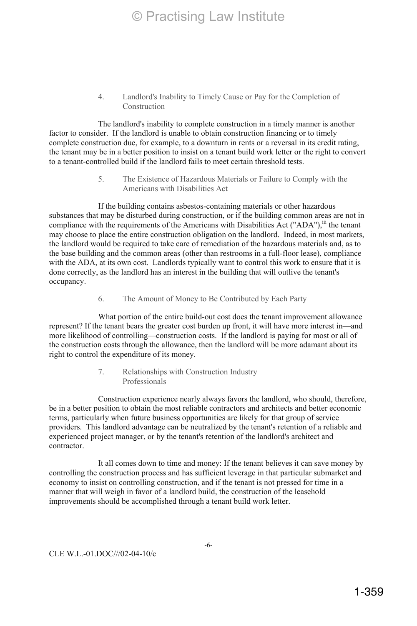#### 4. Landlord's Inability to Timely Cause or Pay for the Completion of Construction

The landlord's inability to complete construction in a timely manner is another factor to consider. If the landlord is unable to obtain construction financing or to timely complete construction due, for example, to a downturn in rents or a reversal in its credit rating, the tenant may be in a better position to insist on a tenant build work letter or the right to convert to a tenant-controlled build if the landlord fails to meet certain threshold tests.

#### 5. The Existence of Hazardous Materials or Failure to Comply with the Americans with Disabilities Act

If the building contains asbestos-containing materials or other hazardous substances that may be disturbed during construction, or if the building common areas are not in compliance with the requirements of the Americans with Disabilities Act ("ADA"),<sup>iii</sup> the tenant may choose to place the entire construction obligation on the landlord. Indeed, in most markets, the landlord would be required to take care of remediation of the hazardous materials and, as to the base building and the common areas (other than restrooms in a full-floor lease), compliance with the ADA, at its own cost. Landlords typically want to control this work to ensure that it is done correctly, as the landlord has an interest in the building that will outlive the tenant's occupancy.

#### 6. The Amount of Money to Be Contributed by Each Party

What portion of the entire build-out cost does the tenant improvement allowance represent? If the tenant bears the greater cost burden up front, it will have more interest in—and more likelihood of controlling—construction costs. If the landlord is paying for most or all of the construction costs through the allowance, then the landlord will be more adamant about its right to control the expenditure of its money.

#### 7. Relationships with Construction Industry Professionals

Construction experience nearly always favors the landlord, who should, therefore, be in a better position to obtain the most reliable contractors and architects and better economic terms, particularly when future business opportunities are likely for that group of service providers. This landlord advantage can be neutralized by the tenant's retention of a reliable and experienced project manager, or by the tenant's retention of the landlord's architect and contractor.

It all comes down to time and money: If the tenant believes it can save money by controlling the construction process and has sufficient leverage in that particular submarket and economy to insist on controlling construction, and if the tenant is not pressed for time in a manner that will weigh in favor of a landlord build, the construction of the leasehold improvements should be accomplished through a tenant build work letter.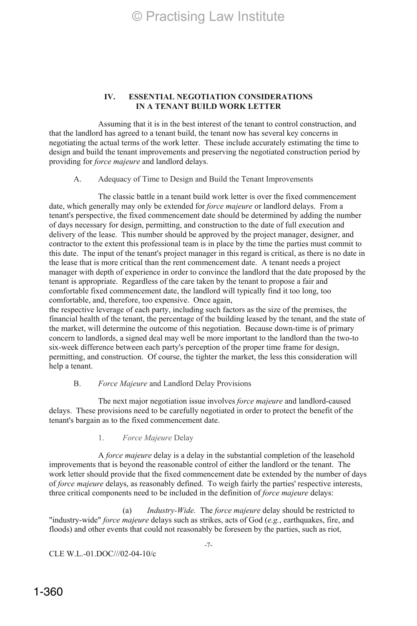### **IV. ESSENTIAL NEGOTIATION CONSIDERATIONS IN A TENANT BUILD WORK LETTER**

Assuming that it is in the best interest of the tenant to control construction, and that the landlord has agreed to a tenant build, the tenant now has several key concerns in negotiating the actual terms of the work letter. These include accurately estimating the time to design and build the tenant improvements and preserving the negotiated construction period by providing for *force majeure* and landlord delays.

A. Adequacy of Time to Design and Build the Tenant Improvements

The classic battle in a tenant build work letter is over the fixed commencement date, which generally may only be extended for *force majeure* or landlord delays. From a tenant's perspective, the fixed commencement date should be determined by adding the number of days necessary for design, permitting, and construction to the date of full execution and delivery of the lease. This number should be approved by the project manager, designer, and contractor to the extent this professional team is in place by the time the parties must commit to this date. The input of the tenant's project manager in this regard is critical, as there is no date in the lease that is more critical than the rent commencement date. A tenant needs a project manager with depth of experience in order to convince the landlord that the date proposed by the tenant is appropriate. Regardless of the care taken by the tenant to propose a fair and comfortable fixed commencement date, the landlord will typically find it too long, too comfortable, and, therefore, too expensive. Once again,

the respective leverage of each party, including such factors as the size of the premises, the financial health of the tenant, the percentage of the building leased by the tenant, and the state of the market, will determine the outcome of this negotiation. Because down-time is of primary concern to landlords, a signed deal may well be more important to the landlord than the two-to six-week difference between each party's perception of the proper time frame for design, permitting, and construction. Of course, the tighter the market, the less this consideration will help a tenant.

### B. *Force Majeure* and Landlord Delay Provisions

The next major negotiation issue involves *force majeure* and landlord-caused delays. These provisions need to be carefully negotiated in order to protect the benefit of the tenant's bargain as to the fixed commencement date.

1. *Force Majeure* Delay

A *force majeure* delay is a delay in the substantial completion of the leasehold improvements that is beyond the reasonable control of either the landlord or the tenant. The work letter should provide that the fixed commencement date be extended by the number of days of *force majeure* delays, as reasonably defined. To weigh fairly the parties' respective interests, three critical components need to be included in the definition of *force majeure* delays:

(a) *Industry-Wide.* The *force majeure* delay should be restricted to "industry-wide" *force majeure* delays such as strikes, acts of God (*e.g.*, earthquakes, fire, and floods) and other events that could not reasonably be foreseen by the parties, such as riot,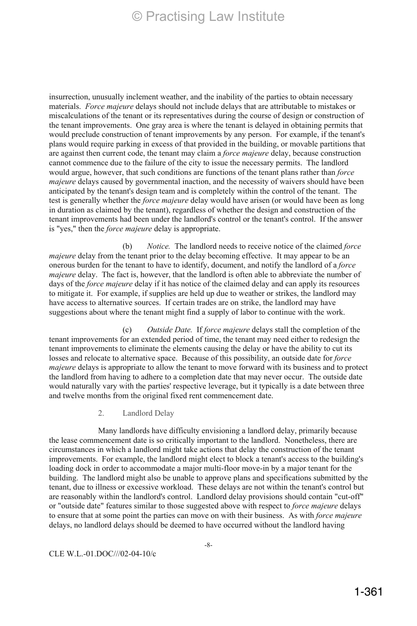insurrection, unusually inclement weather, and the inability of the parties to obtain necessary materials. *Force majeure* delays should not include delays that are attributable to mistakes or miscalculations of the tenant or its representatives during the course of design or construction of the tenant improvements. One gray area is where the tenant is delayed in obtaining permits that would preclude construction of tenant improvements by any person. For example, if the tenant's plans would require parking in excess of that provided in the building, or movable partitions that are against then current code, the tenant may claim a *force majeure* delay, because construction cannot commence due to the failure of the city to issue the necessary permits. The landlord would argue, however, that such conditions are functions of the tenant plans rather than *force majeure* delays caused by governmental inaction, and the necessity of waivers should have been anticipated by the tenant's design team and is completely within the control of the tenant. The test is generally whether the *force majeure* delay would have arisen (or would have been as long in duration as claimed by the tenant), regardless of whether the design and construction of the tenant improvements had been under the landlord's control or the tenant's control. If the answer is "yes," then the *force majeure* delay is appropriate.

(b) *Notice.* The landlord needs to receive notice of the claimed *force majeure* delay from the tenant prior to the delay becoming effective. It may appear to be an onerous burden for the tenant to have to identify, document, and notify the landlord of a *force majeure* delay. The fact is, however, that the landlord is often able to abbreviate the number of days of the *force majeure* delay if it has notice of the claimed delay and can apply its resources to mitigate it. For example, if supplies are held up due to weather or strikes, the landlord may have access to alternative sources. If certain trades are on strike, the landlord may have suggestions about where the tenant might find a supply of labor to continue with the work.

(c) *Outside Date.* If *force majeure* delays stall the completion of the tenant improvements for an extended period of time, the tenant may need either to redesign the tenant improvements to eliminate the elements causing the delay or have the ability to cut its losses and relocate to alternative space. Because of this possibility, an outside date for *force majeure* delays is appropriate to allow the tenant to move forward with its business and to protect the landlord from having to adhere to a completion date that may never occur. The outside date would naturally vary with the parties' respective leverage, but it typically is a date between three and twelve months from the original fixed rent commencement date.

2. Landlord Delay

Many landlords have difficulty envisioning a landlord delay, primarily because the lease commencement date is so critically important to the landlord. Nonetheless, there are circumstances in which a landlord might take actions that delay the construction of the tenant improvements. For example, the landlord might elect to block a tenant's access to the building's loading dock in order to accommodate a major multi-floor move-in by a major tenant for the building. The landlord might also be unable to approve plans and specifications submitted by the tenant, due to illness or excessive workload. These delays are not within the tenant's control but are reasonably within the landlord's control. Landlord delay provisions should contain "cut-off" or "outside date" features similar to those suggested above with respect to *force majeure* delays to ensure that at some point the parties can move on with their business. As with *force majeure* delays, no landlord delays should be deemed to have occurred without the landlord having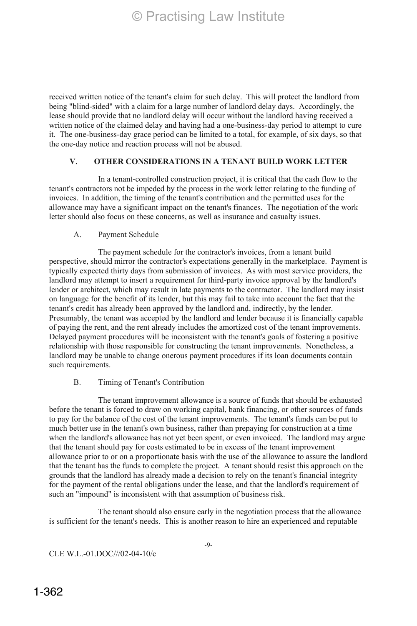received written notice of the tenant's claim for such delay. This will protect the landlord from being "blind-sided" with a claim for a large number of landlord delay days. Accordingly, the lease should provide that no landlord delay will occur without the landlord having received a written notice of the claimed delay and having had a one-business-day period to attempt to cure it. The one-business-day grace period can be limited to a total, for example, of six days, so that the one-day notice and reaction process will not be abused.

### **V. OTHER CONSIDERATIONS IN A TENANT BUILD WORK LETTER**

In a tenant-controlled construction project, it is critical that the cash flow to the tenant's contractors not be impeded by the process in the work letter relating to the funding of invoices. In addition, the timing of the tenant's contribution and the permitted uses for the allowance may have a significant impact on the tenant's finances. The negotiation of the work letter should also focus on these concerns, as well as insurance and casualty issues.

#### A. Payment Schedule

The payment schedule for the contractor's invoices, from a tenant build perspective, should mirror the contractor's expectations generally in the marketplace. Payment is typically expected thirty days from submission of invoices. As with most service providers, the landlord may attempt to insert a requirement for third-party invoice approval by the landlord's lender or architect, which may result in late payments to the contractor. The landlord may insist on language for the benefit of its lender, but this may fail to take into account the fact that the tenant's credit has already been approved by the landlord and, indirectly, by the lender. Presumably, the tenant was accepted by the landlord and lender because it is financially capable of paying the rent, and the rent already includes the amortized cost of the tenant improvements. Delayed payment procedures will be inconsistent with the tenant's goals of fostering a positive relationship with those responsible for constructing the tenant improvements. Nonetheless, a landlord may be unable to change onerous payment procedures if its loan documents contain such requirements.

#### B. Timing of Tenant's Contribution

The tenant improvement allowance is a source of funds that should be exhausted before the tenant is forced to draw on working capital, bank financing, or other sources of funds to pay for the balance of the cost of the tenant improvements. The tenant's funds can be put to much better use in the tenant's own business, rather than prepaying for construction at a time when the landlord's allowance has not yet been spent, or even invoiced. The landlord may argue that the tenant should pay for costs estimated to be in excess of the tenant improvement allowance prior to or on a proportionate basis with the use of the allowance to assure the landlord that the tenant has the funds to complete the project. A tenant should resist this approach on the grounds that the landlord has already made a decision to rely on the tenant's financial integrity for the payment of the rental obligations under the lease, and that the landlord's requirement of such an "impound" is inconsistent with that assumption of business risk.

The tenant should also ensure early in the negotiation process that the allowance is sufficient for the tenant's needs. This is another reason to hire an experienced and reputable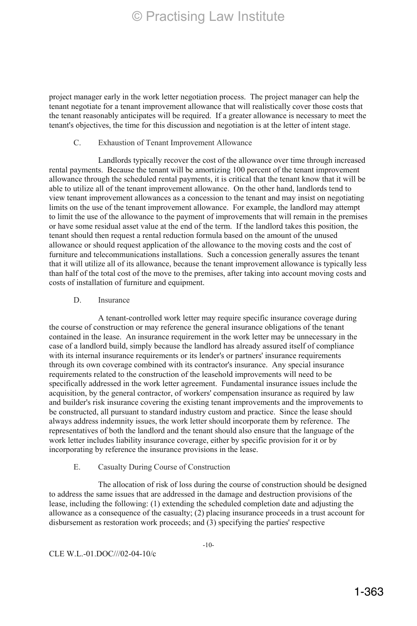project manager early in the work letter negotiation process. The project manager can help the tenant negotiate for a tenant improvement allowance that will realistically cover those costs that the tenant reasonably anticipates will be required. If a greater allowance is necessary to meet the tenant's objectives, the time for this discussion and negotiation is at the letter of intent stage.

#### C. Exhaustion of Tenant Improvement Allowance

Landlords typically recover the cost of the allowance over time through increased rental payments. Because the tenant will be amortizing 100 percent of the tenant improvement allowance through the scheduled rental payments, it is critical that the tenant know that it will be able to utilize all of the tenant improvement allowance. On the other hand, landlords tend to view tenant improvement allowances as a concession to the tenant and may insist on negotiating limits on the use of the tenant improvement allowance. For example, the landlord may attempt to limit the use of the allowance to the payment of improvements that will remain in the premises or have some residual asset value at the end of the term. If the landlord takes this position, the tenant should then request a rental reduction formula based on the amount of the unused allowance or should request application of the allowance to the moving costs and the cost of furniture and telecommunications installations. Such a concession generally assures the tenant that it will utilize all of its allowance, because the tenant improvement allowance is typically less than half of the total cost of the move to the premises, after taking into account moving costs and costs of installation of furniture and equipment.

### D. Insurance

A tenant-controlled work letter may require specific insurance coverage during the course of construction or may reference the general insurance obligations of the tenant contained in the lease. An insurance requirement in the work letter may be unnecessary in the case of a landlord build, simply because the landlord has already assured itself of compliance with its internal insurance requirements or its lender's or partners' insurance requirements through its own coverage combined with its contractor's insurance. Any special insurance requirements related to the construction of the leasehold improvements will need to be specifically addressed in the work letter agreement. Fundamental insurance issues include the acquisition, by the general contractor, of workers' compensation insurance as required by law and builder's risk insurance covering the existing tenant improvements and the improvements to be constructed, all pursuant to standard industry custom and practice. Since the lease should always address indemnity issues, the work letter should incorporate them by reference. The representatives of both the landlord and the tenant should also ensure that the language of the work letter includes liability insurance coverage, either by specific provision for it or by incorporating by reference the insurance provisions in the lease.

## E. Casualty During Course of Construction

The allocation of risk of loss during the course of construction should be designed to address the same issues that are addressed in the damage and destruction provisions of the lease, including the following: (1) extending the scheduled completion date and adjusting the allowance as a consequence of the casualty; (2) placing insurance proceeds in a trust account for disbursement as restoration work proceeds; and (3) specifying the parties' respective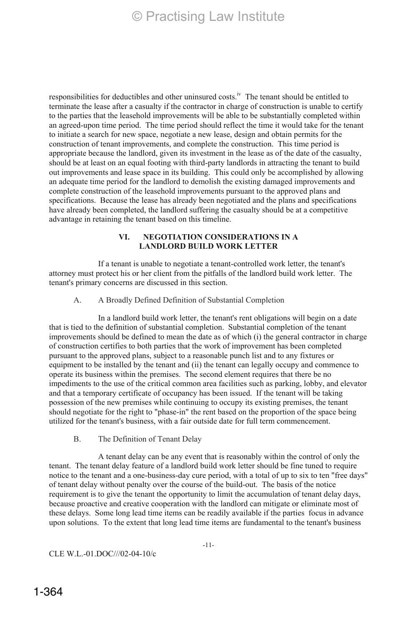responsibilities for deductibles and other uninsured costs.<sup>iv</sup> The tenant should be entitled to terminate the lease after a casualty if the contractor in charge of construction is unable to certify to the parties that the leasehold improvements will be able to be substantially completed within an agreed-upon time period. The time period should reflect the time it would take for the tenant to initiate a search for new space, negotiate a new lease, design and obtain permits for the construction of tenant improvements, and complete the construction. This time period is appropriate because the landlord, given its investment in the lease as of the date of the casualty, should be at least on an equal footing with third-party landlords in attracting the tenant to build out improvements and lease space in its building. This could only be accomplished by allowing an adequate time period for the landlord to demolish the existing damaged improvements and complete construction of the leasehold improvements pursuant to the approved plans and specifications. Because the lease has already been negotiated and the plans and specifications have already been completed, the landlord suffering the casualty should be at a competitive advantage in retaining the tenant based on this timeline.

#### **VI. NEGOTIATION CONSIDERATIONS IN A LANDLORD BUILD WORK LETTER**

If a tenant is unable to negotiate a tenant-controlled work letter, the tenant's attorney must protect his or her client from the pitfalls of the landlord build work letter. The tenant's primary concerns are discussed in this section.

#### A. A Broadly Defined Definition of Substantial Completion

In a landlord build work letter, the tenant's rent obligations will begin on a date that is tied to the definition of substantial completion. Substantial completion of the tenant improvements should be defined to mean the date as of which (i) the general contractor in charge of construction certifies to both parties that the work of improvement has been completed pursuant to the approved plans, subject to a reasonable punch list and to any fixtures or equipment to be installed by the tenant and (ii) the tenant can legally occupy and commence to operate its business within the premises. The second element requires that there be no impediments to the use of the critical common area facilities such as parking, lobby, and elevator and that a temporary certificate of occupancy has been issued. If the tenant will be taking possession of the new premises while continuing to occupy its existing premises, the tenant should negotiate for the right to "phase-in" the rent based on the proportion of the space being utilized for the tenant's business, with a fair outside date for full term commencement.

B. The Definition of Tenant Delay

A tenant delay can be any event that is reasonably within the control of only the tenant. The tenant delay feature of a landlord build work letter should be fine tuned to require notice to the tenant and a one-business-day cure period, with a total of up to six to ten "free days" of tenant delay without penalty over the course of the build-out. The basis of the notice requirement is to give the tenant the opportunity to limit the accumulation of tenant delay days, because proactive and creative cooperation with the landlord can mitigate or eliminate most of these delays. Some long lead time items can be readily available if the parties focus in advance upon solutions. To the extent that long lead time items are fundamental to the tenant's business

-11-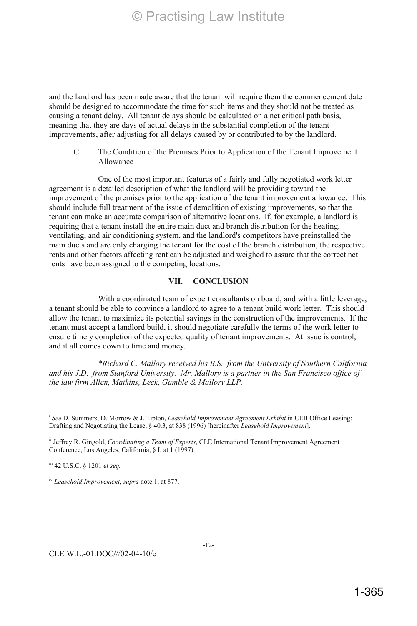and the landlord has been made aware that the tenant will require them the commencement date should be designed to accommodate the time for such items and they should not be treated as causing a tenant delay. All tenant delays should be calculated on a net critical path basis, meaning that they are days of actual delays in the substantial completion of the tenant improvements, after adjusting for all delays caused by or contributed to by the landlord.

C. The Condition of the Premises Prior to Application of the Tenant Improvement Allowance

One of the most important features of a fairly and fully negotiated work letter agreement is a detailed description of what the landlord will be providing toward the improvement of the premises prior to the application of the tenant improvement allowance. This should include full treatment of the issue of demolition of existing improvements, so that the tenant can make an accurate comparison of alternative locations. If, for example, a landlord is requiring that a tenant install the entire main duct and branch distribution for the heating, ventilating, and air conditioning system, and the landlord's competitors have preinstalled the main ducts and are only charging the tenant for the cost of the branch distribution, the respective rents and other factors affecting rent can be adjusted and weighed to assure that the correct net rents have been assigned to the competing locations.

#### **VII. CONCLUSION**

With a coordinated team of expert consultants on board, and with a little leverage, a tenant should be able to convince a landlord to agree to a tenant build work letter. This should allow the tenant to maximize its potential savings in the construction of the improvements. If the tenant must accept a landlord build, it should negotiate carefully the terms of the work letter to ensure timely completion of the expected quality of tenant improvements. At issue is control, and it all comes down to time and money*.*

*\*Richard C. Mallory received his B.S. from the University of Southern California and his J.D. from Stanford University. Mr. Mallory is a partner in the San Francisco office of the law firm Allen, Matkins, Leck, Gamble & Mallory LLP.* 

<sup>&</sup>lt;sup>i</sup> See D. Summers, D. Morrow & J. Tipton, *Leasehold Improvement Agreement Exhibit* in CEB Office Leasing: Drafting and Negotiating the Lease, § 40.3, at 838 (1996) [hereinafter *Leasehold Improvement*].

ii Jeffrey R. Gingold, *Coordinating a Team of Experts*, CLE International Tenant Improvement Agreement Conference, Los Angeles, California, § I, at 1 (1997).

iii 42 U.S.C. § 1201 *et seq.*

iv *Leasehold Improvement, supra* note 1, at 877.